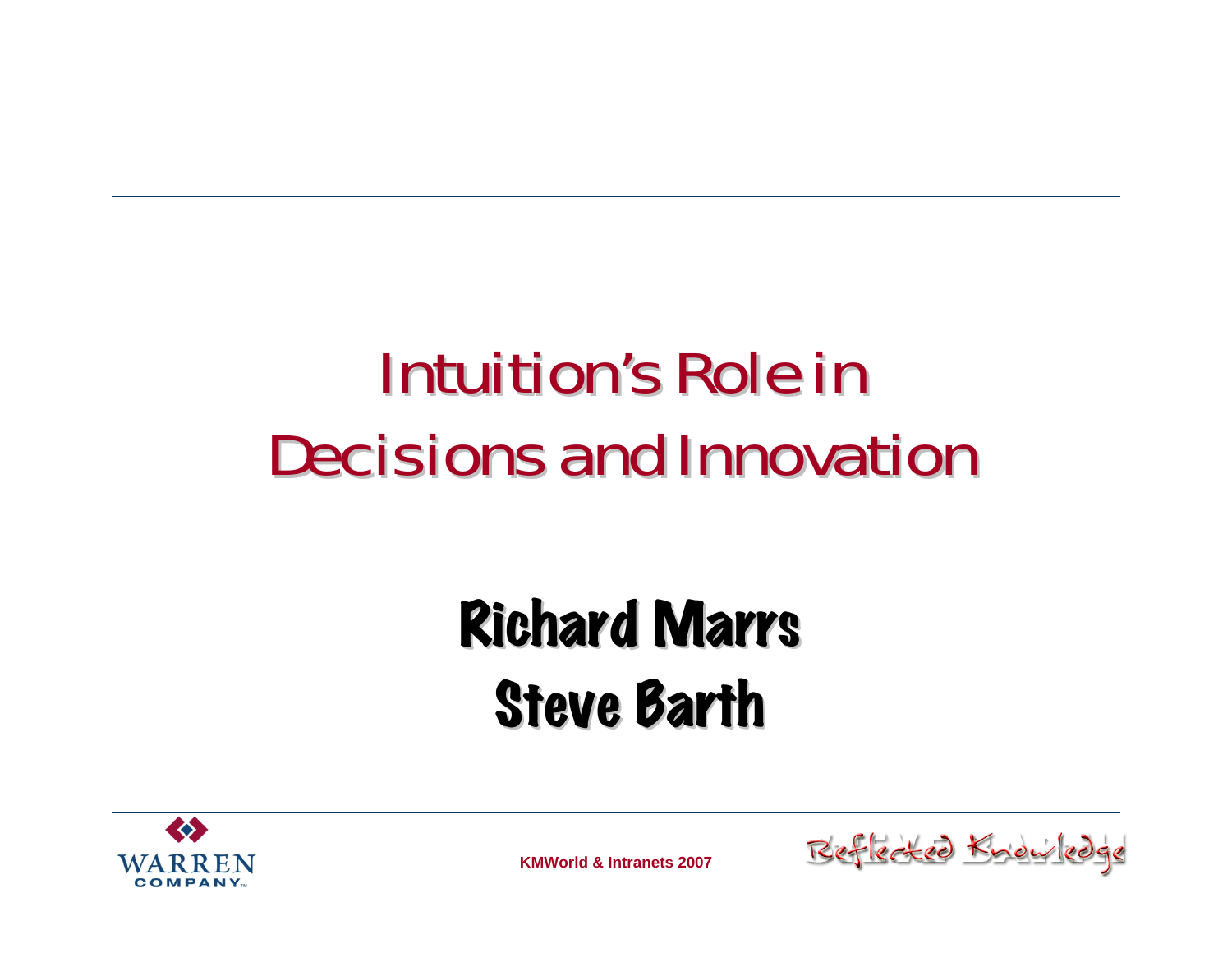### **Intuition's Role in Decisions and Innovation**

### **Richard Marrs Steve Barth**



**KMWorld & Intranets 2007**

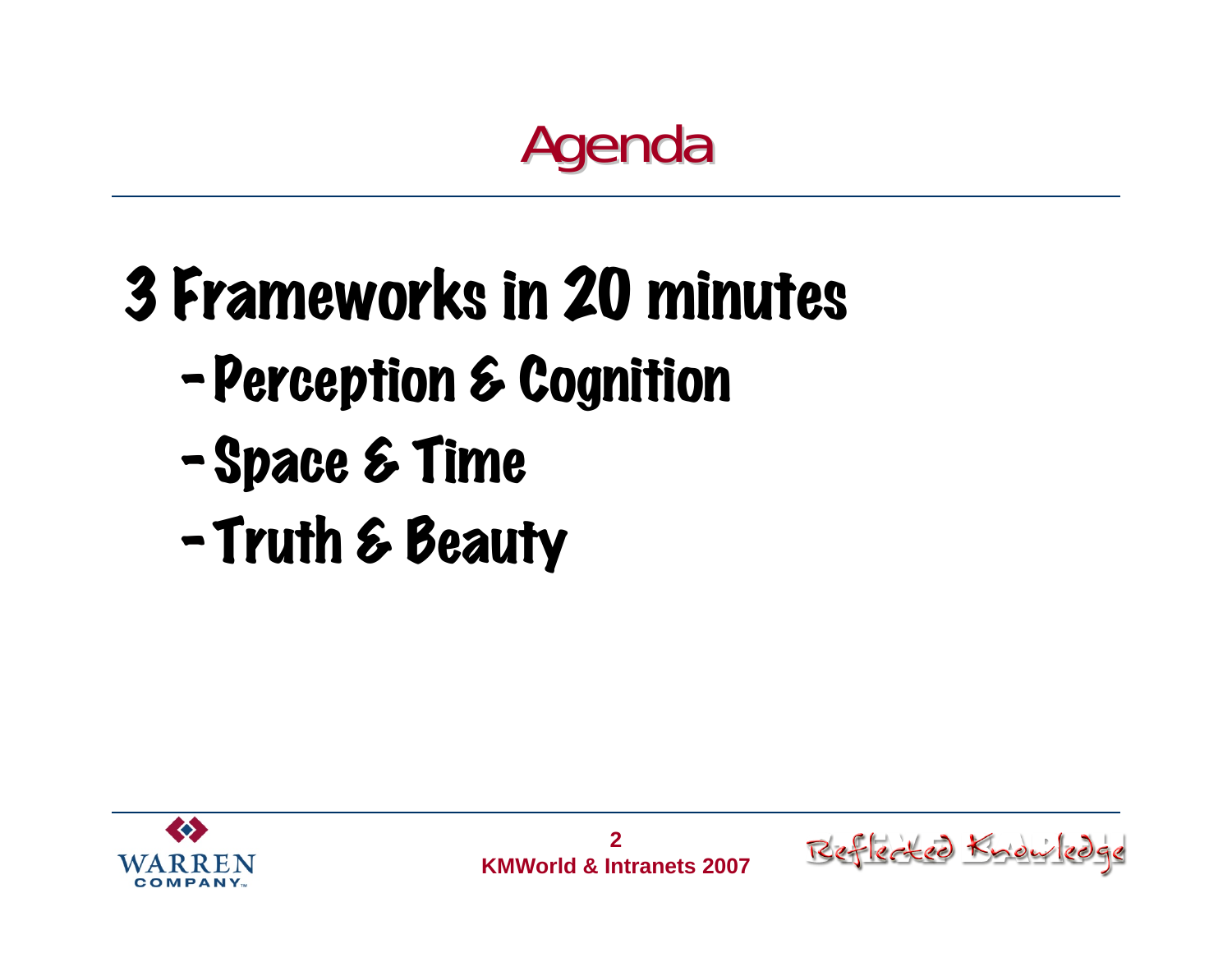#### Agenda

- 3 Frameworks in 20 minutes
	- –Perception & Cognition
	- –Space & Time
	- –Truth & Beauty



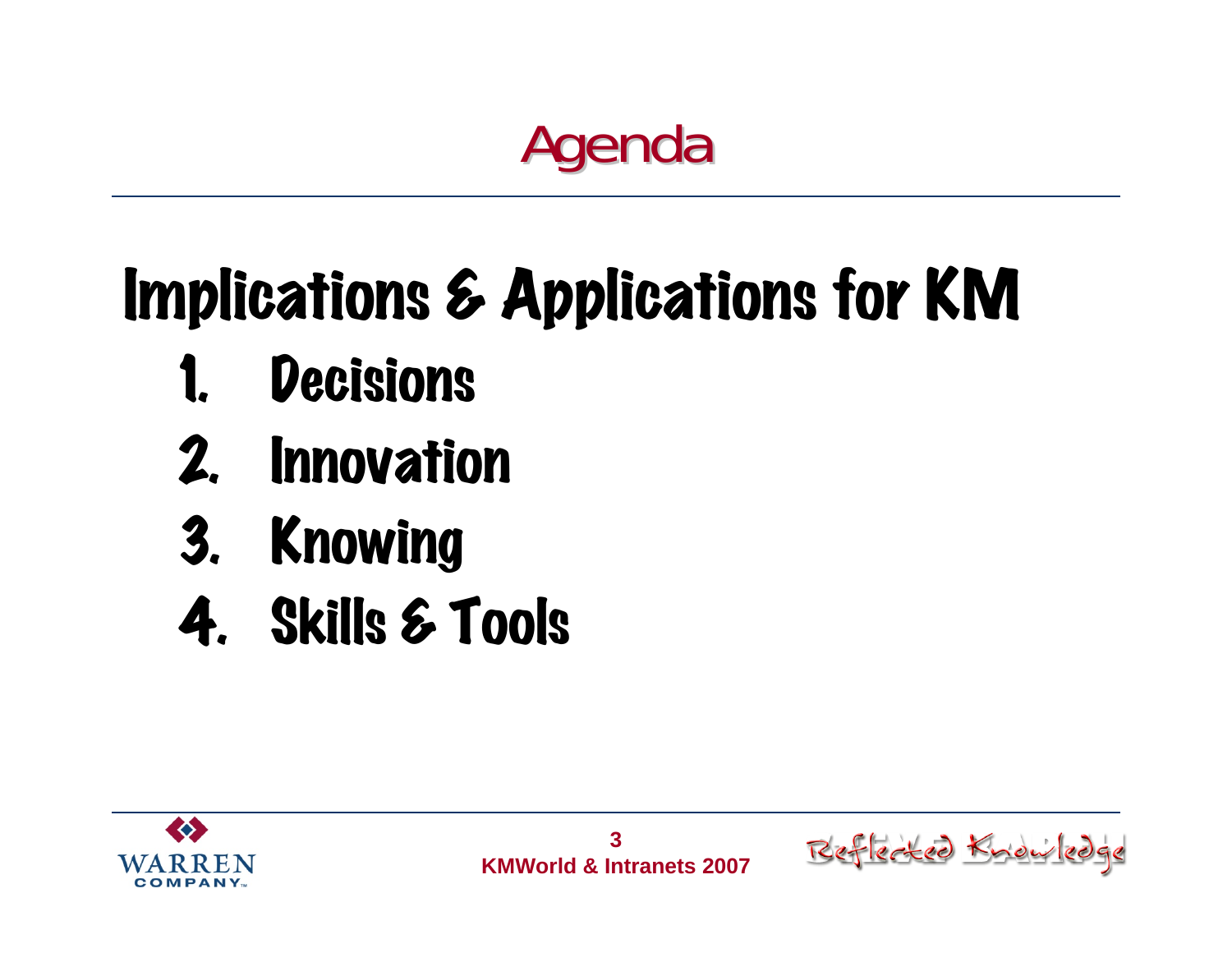

## Implications & Applications for KM

- **Decisions**
- 2. Innovation
- 3. Knowing
- 4. Skills & Tools



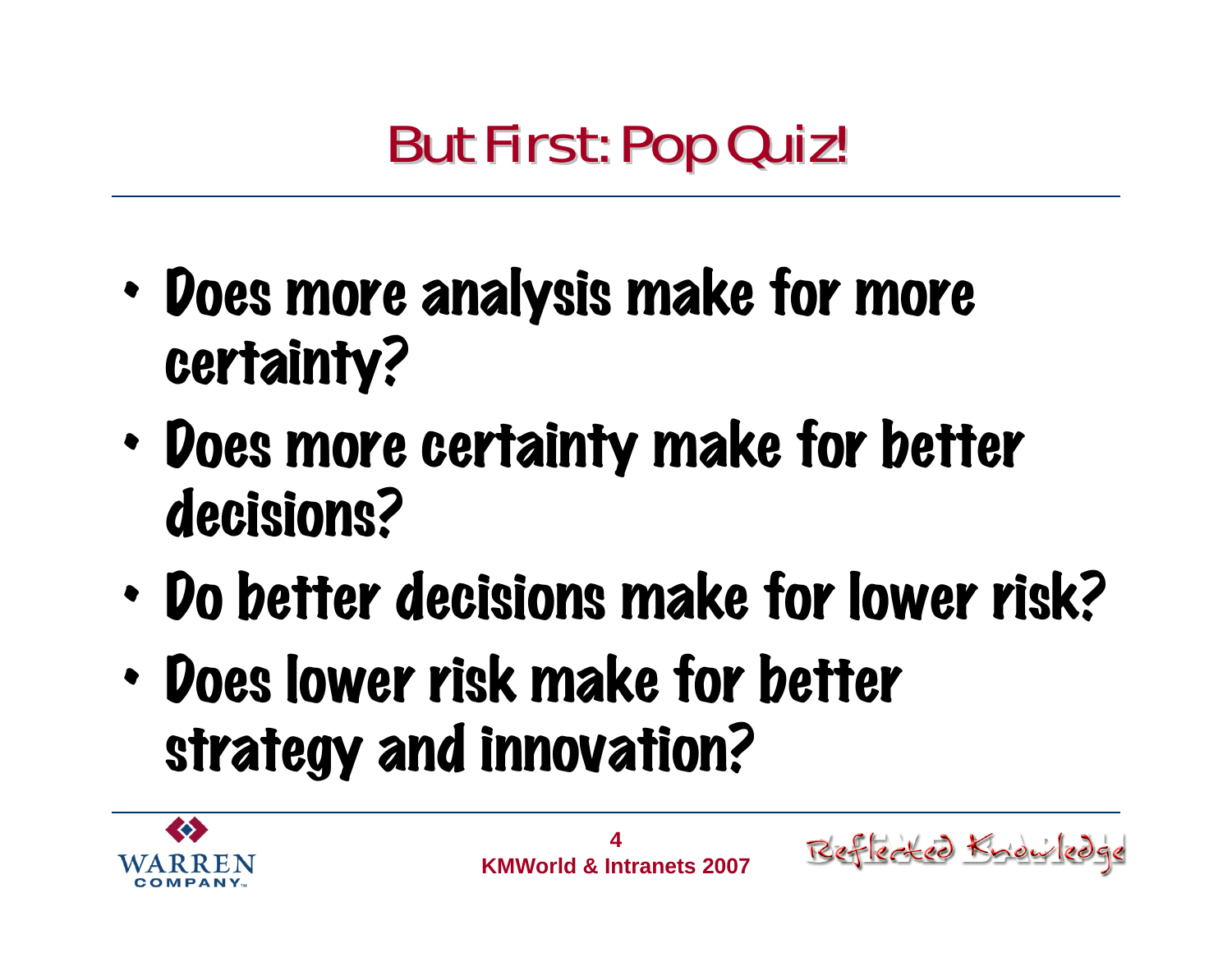#### **But First: Pop Quiz!**

- • Does more analysis make for more certainty?
- • Does more certainty make for better decisions?
- •Do better decisions make for lower risk?
- • Does lower risk make for better strategy and innovation?



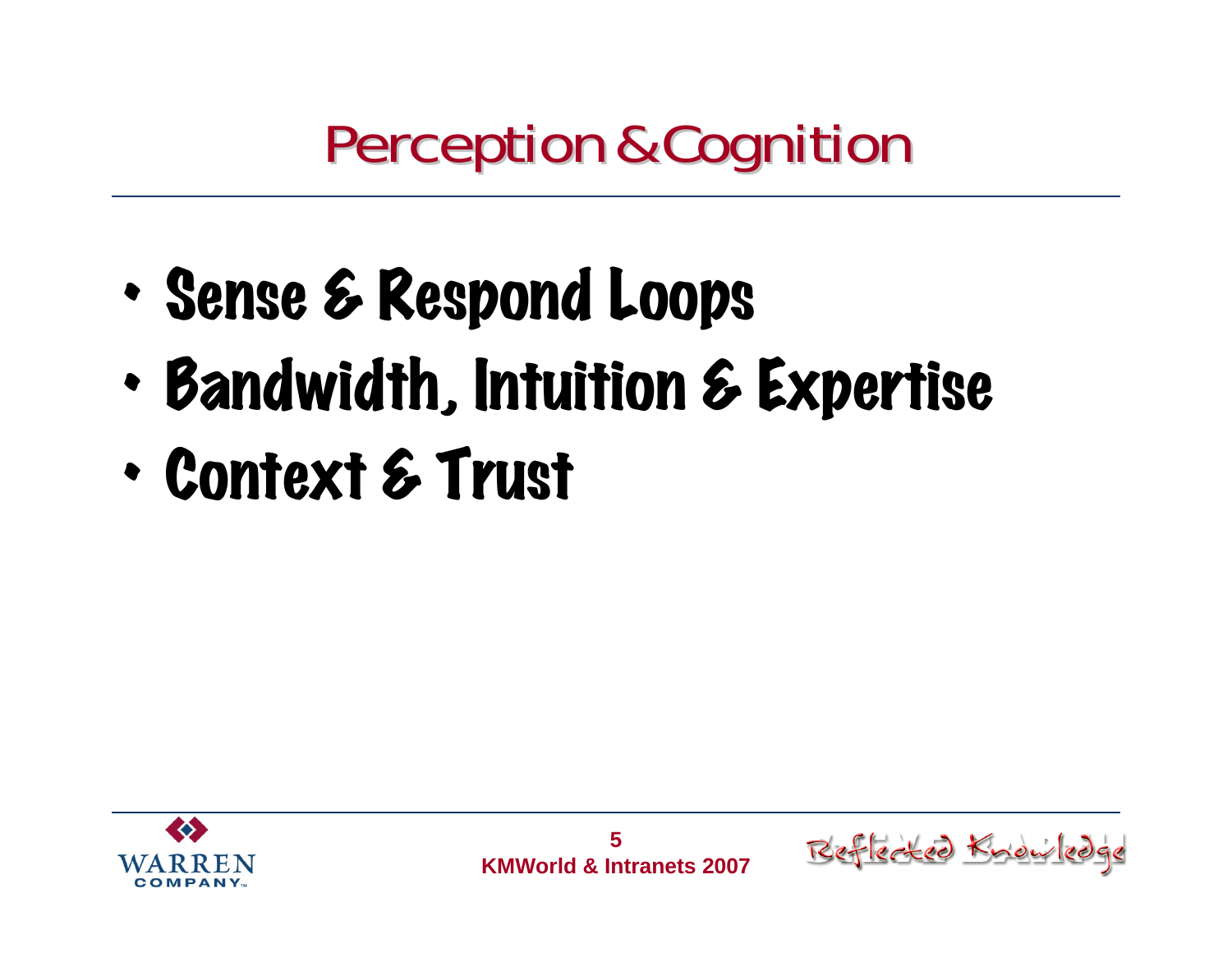#### **Perception & Cognition**

- •Sense & Respond Loops
- •Bandwidth, Intuition & Expertise
- •Context & Trust



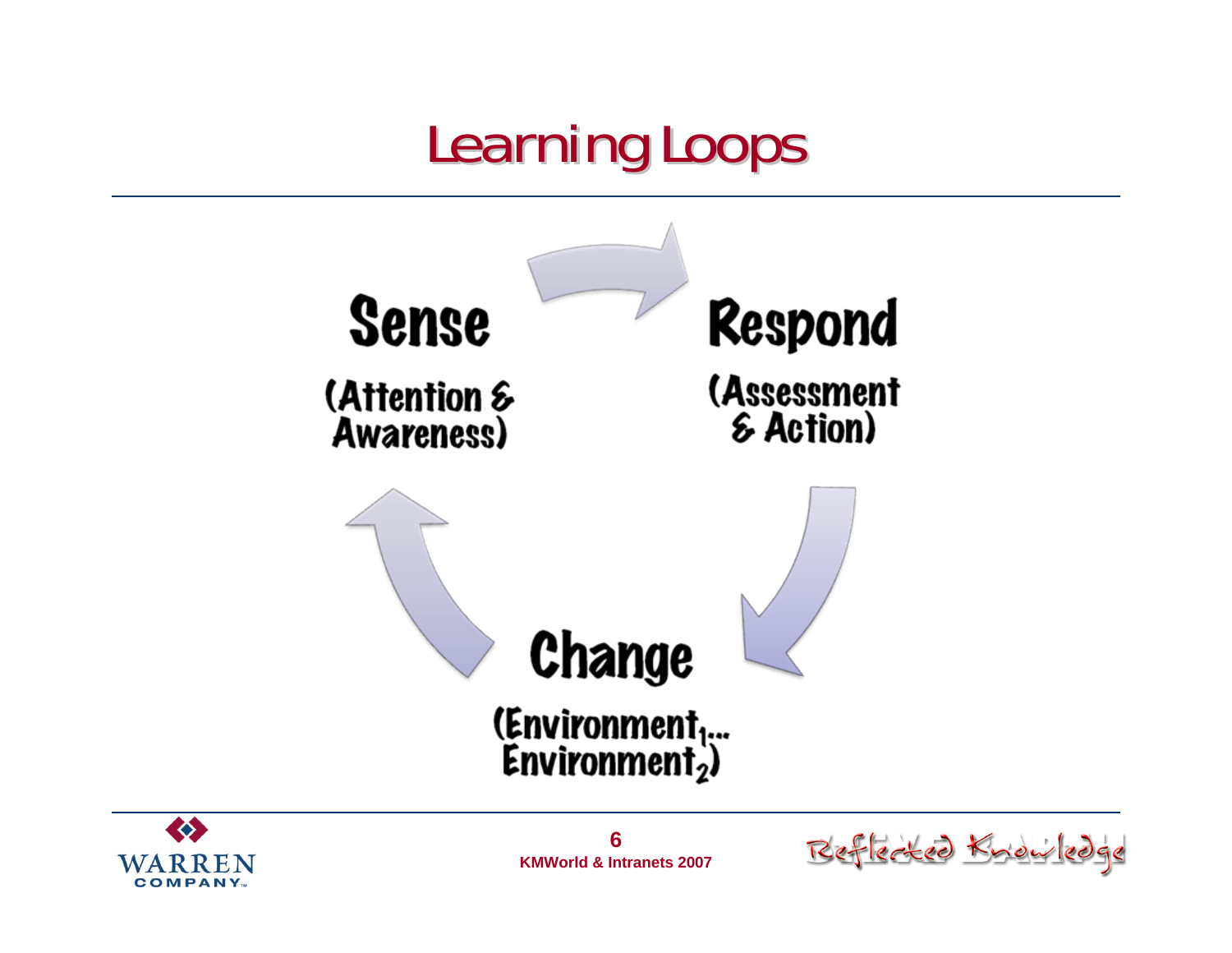#### **Learning Loops**





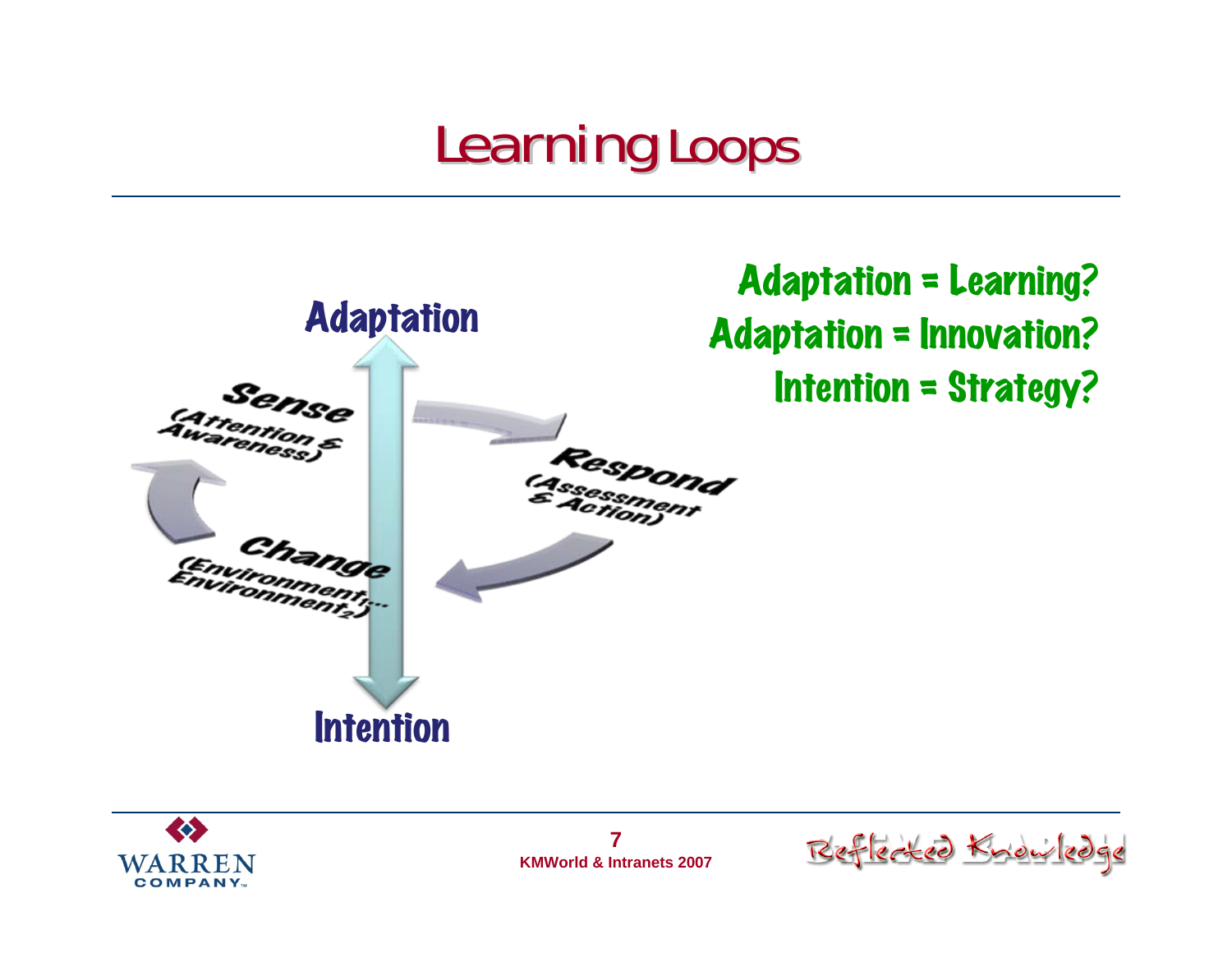#### **Learning Loops**



**CO COMPANY** 

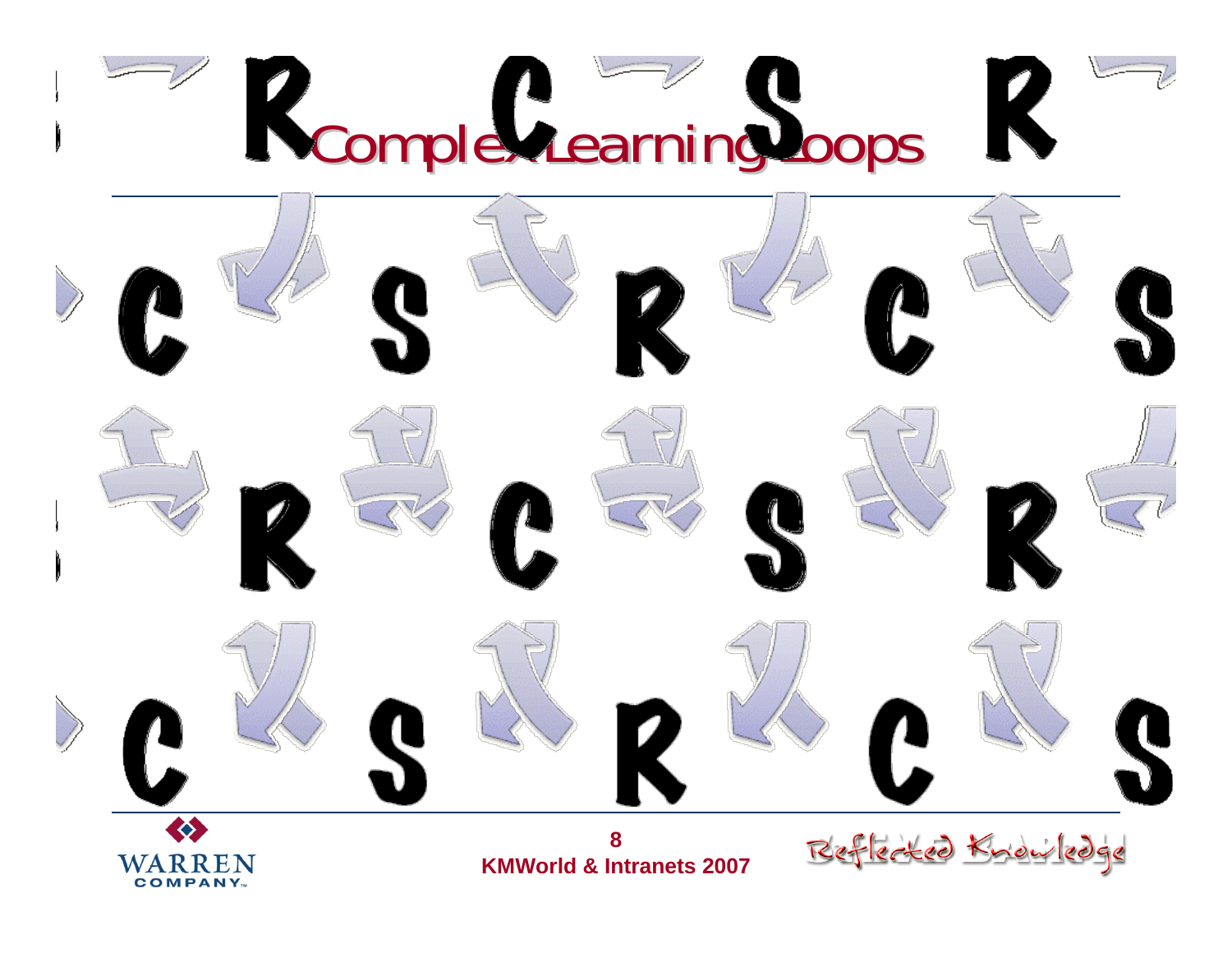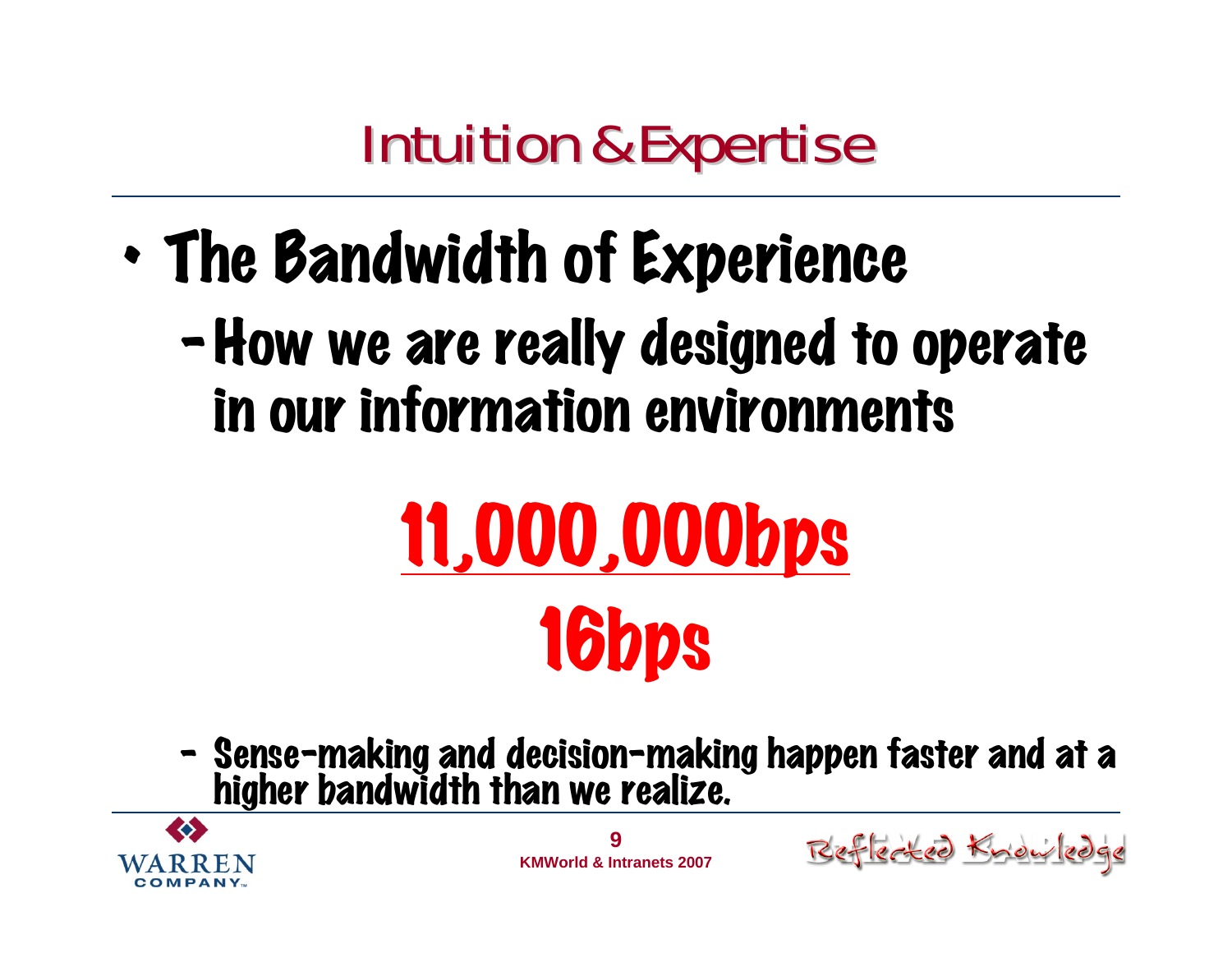#### **Intuition & Expertise**

• The Bandwidth of Experience –How we are really designed to operate in our information environments

# 11,000,000bps 16bps

–Sense-making and decision-making happen faster and at a higher bandwidth than we realize.



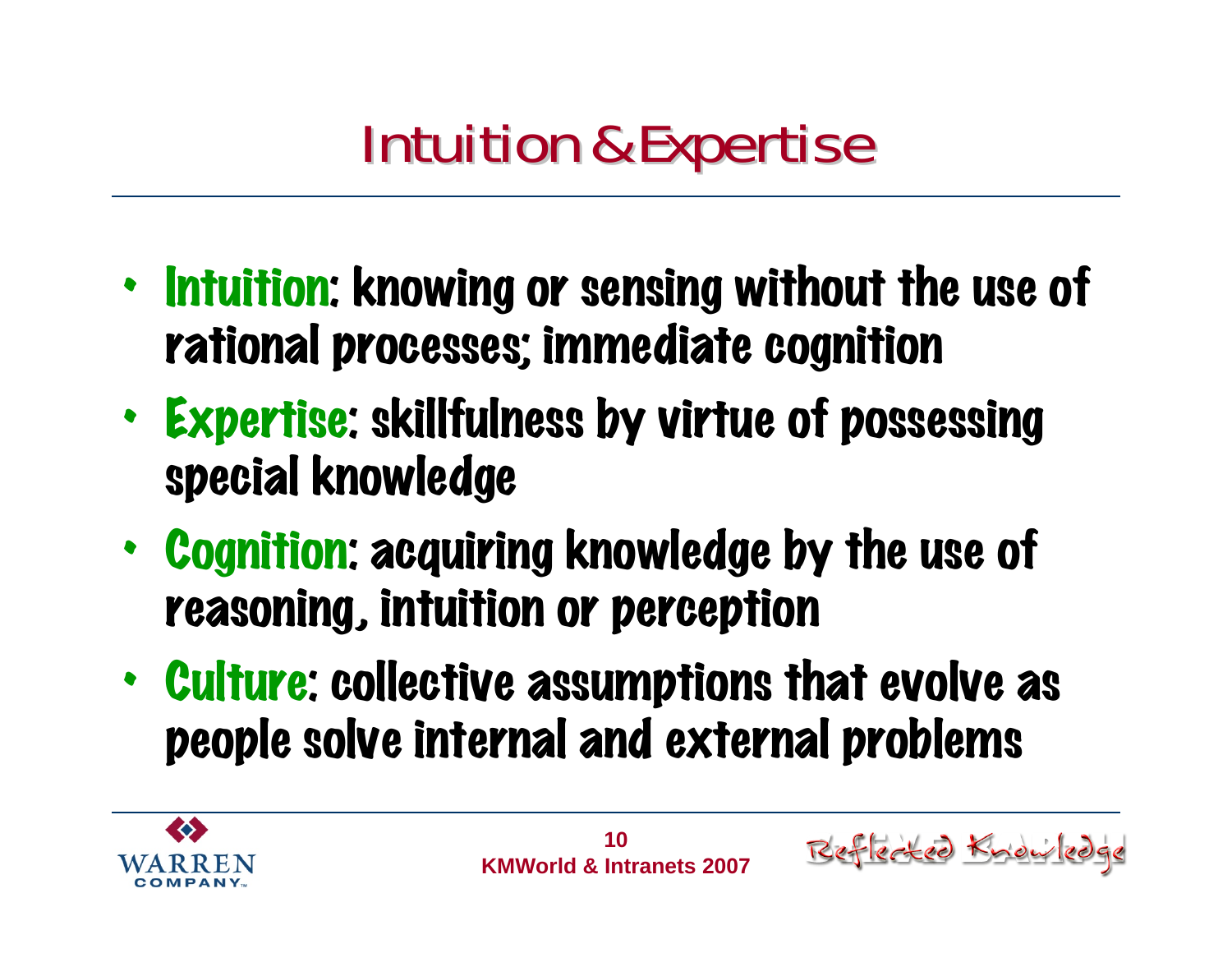#### **Intuition & Expertise**

- •• Intuition: knowing or sensing without the use of rational processes; immediate cognition
- • Expertise: skillfulness by virtue of possessing special knowledge
- • Cognition: acquiring knowledge by the use of reasoning, intuition or perception
- • Culture: collective assumptions that evolve as people solve internal and external problems



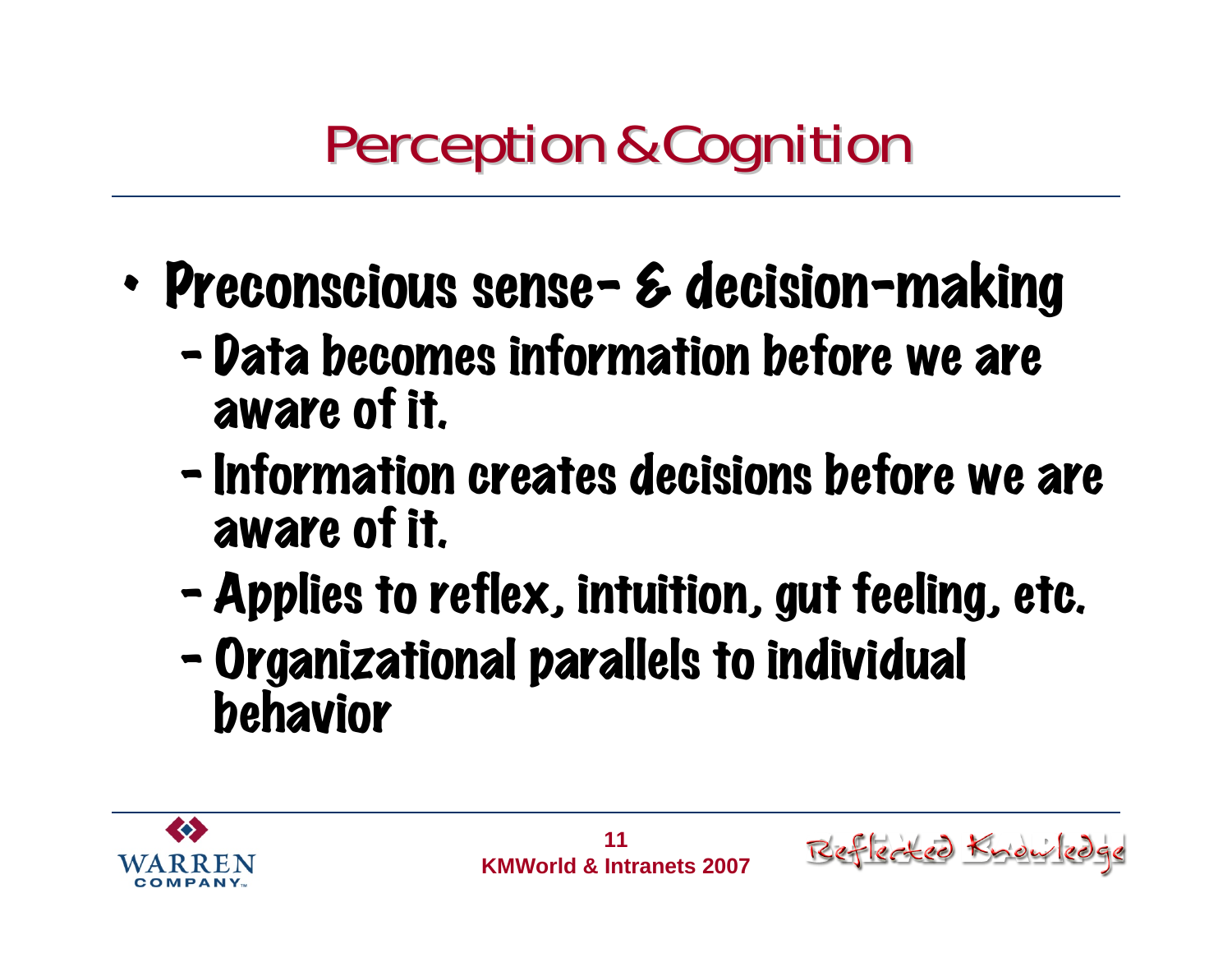### **Perception & Cognition**

- • Preconscious sense- & decision-making
	- –- Data becomes information before we are aware of it.
	- $\blacksquare$ - Information creates decisions before we are aware of it.
	- –Applies to reflex, intuition, gut feeling, etc.
	- $\blacksquare$  Organizational parallels to individual behavior



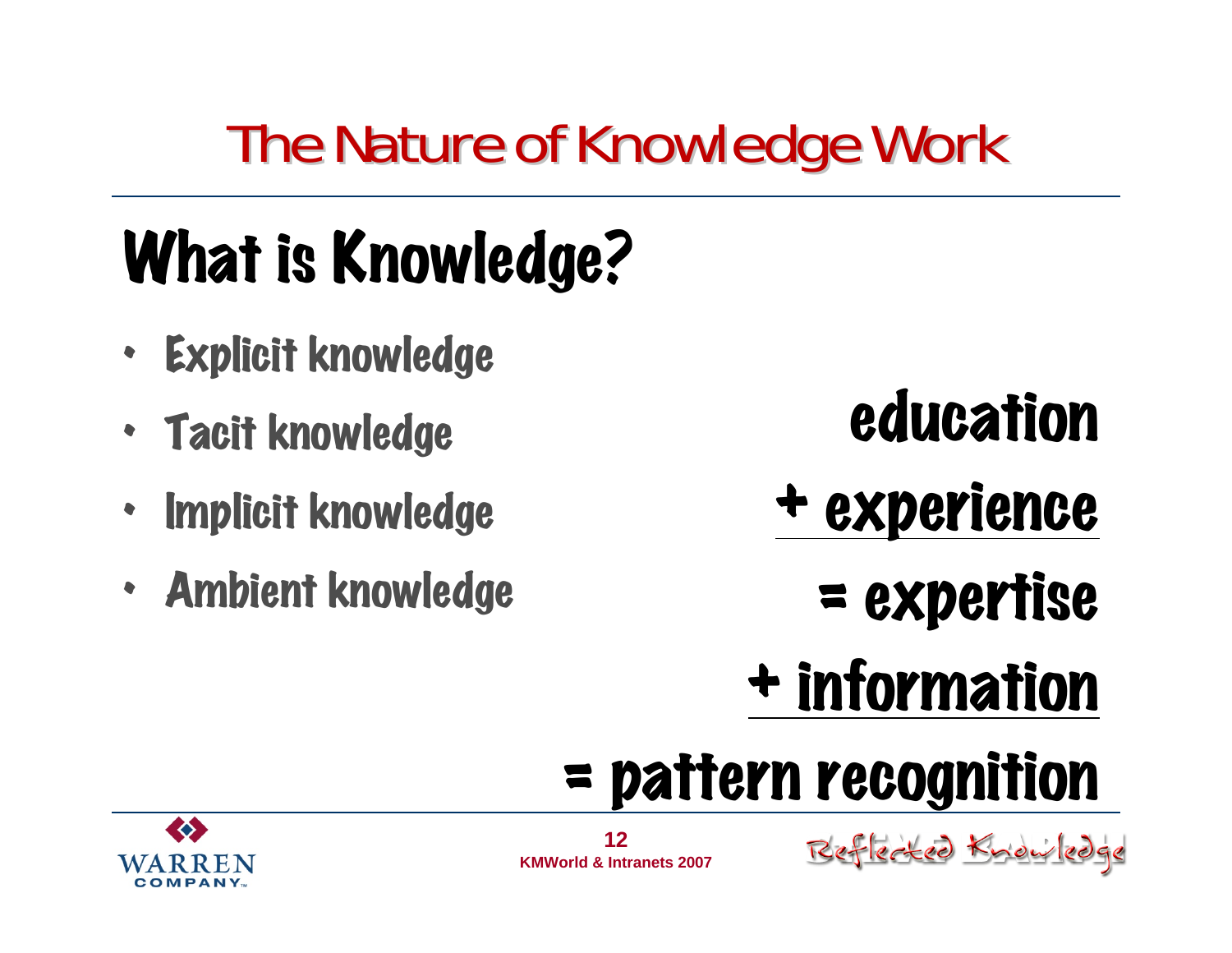### The Nature of Knowledge Work

# What is Knowledge?

- •Explicit knowledge
- Tacit knowledge
- Implicit knowledge
- Ambient knowledge

education

- + experience
	- = expertise
- + information

# = pattern recognition



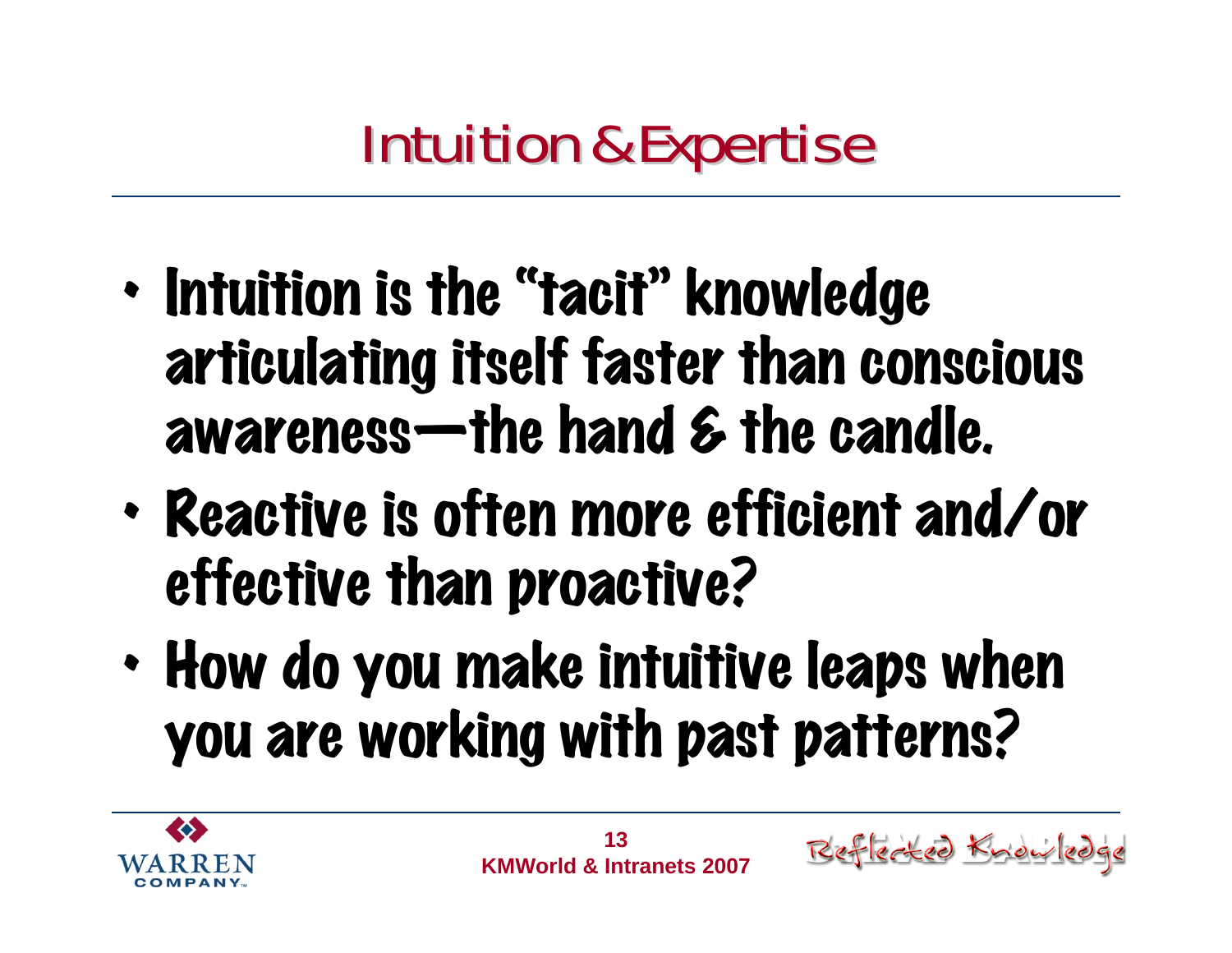- •• Intuition is the "tacit" knowledge articulating itself faster than conscious awareness—the hand & the candle.
- • Reactive is often more efficient and/or effective than proactive?
- • How do you make intuitive leaps when you are working with past patterns?

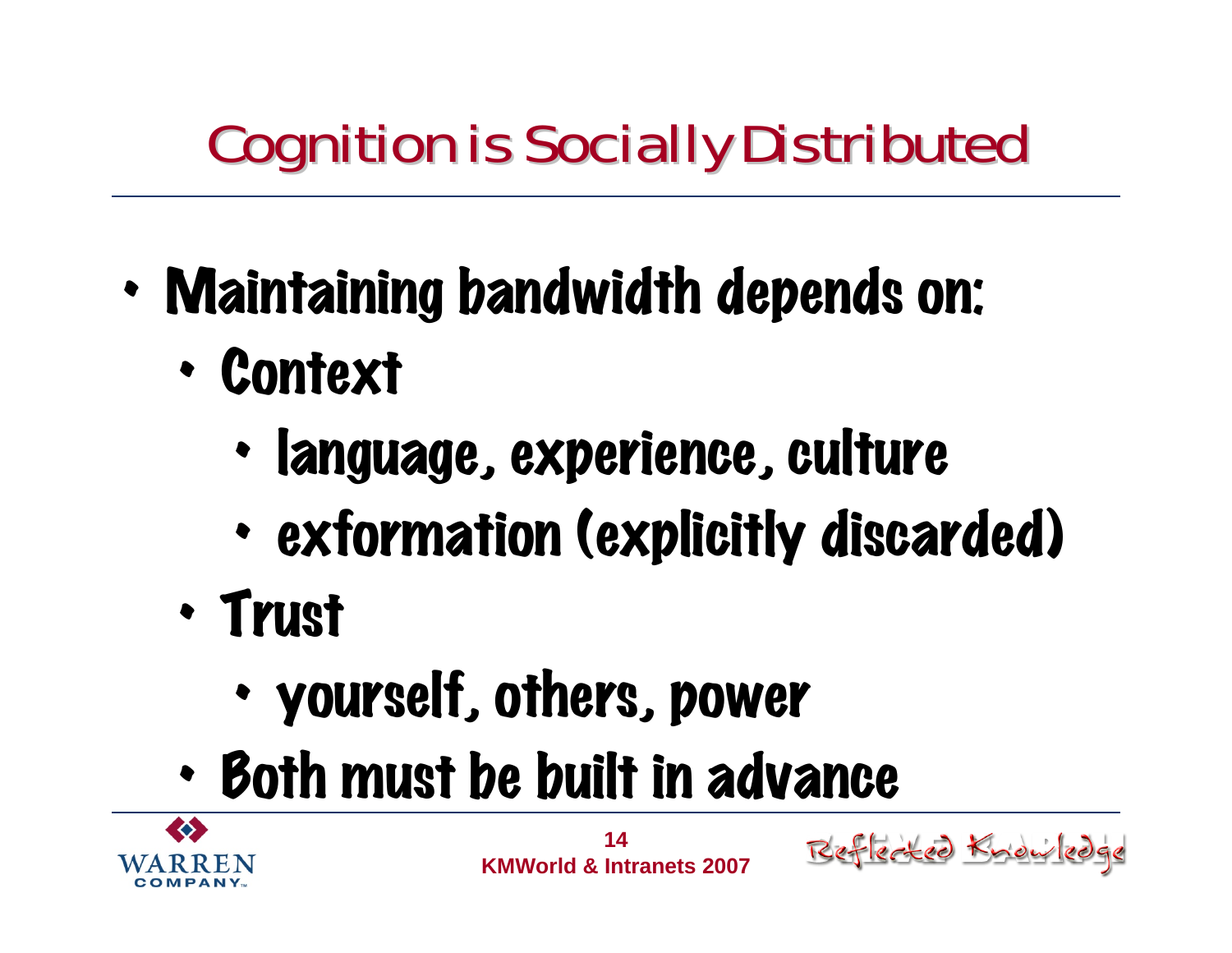### Cognition is Socially Distributed Cognition is Socially Distributed

- • Maintaining bandwidth depends on:
	- • Context
		- •language, experience, culture
		- •exformation (explicitly discarded)
	- • Trust
		- •yourself, others, power
	- •Both must be built in advance

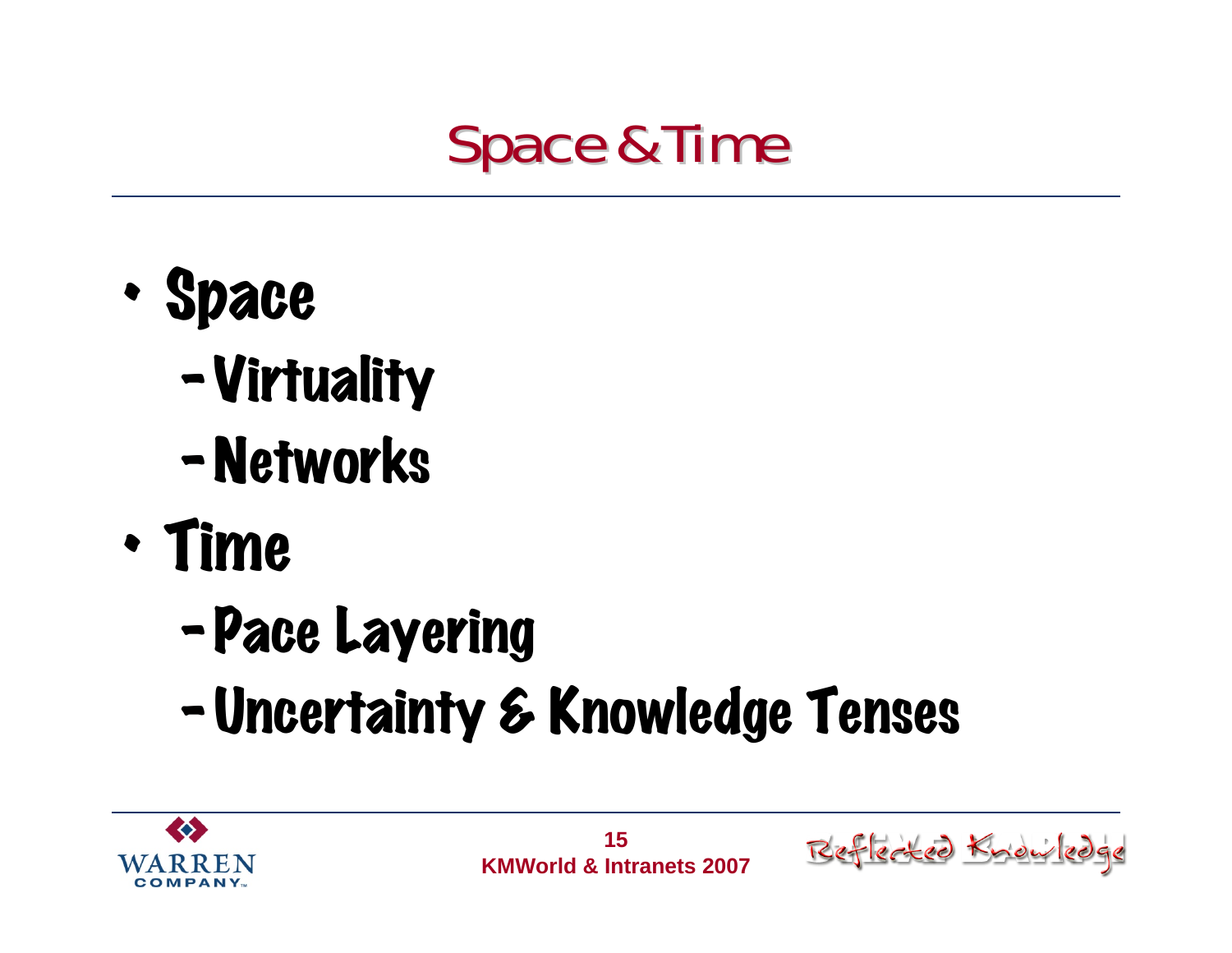

- • Space
	- –Virtuality
	- –Networks
- • Time
	- –Pace Layering
	- –Uncertainty & Knowledge Tenses



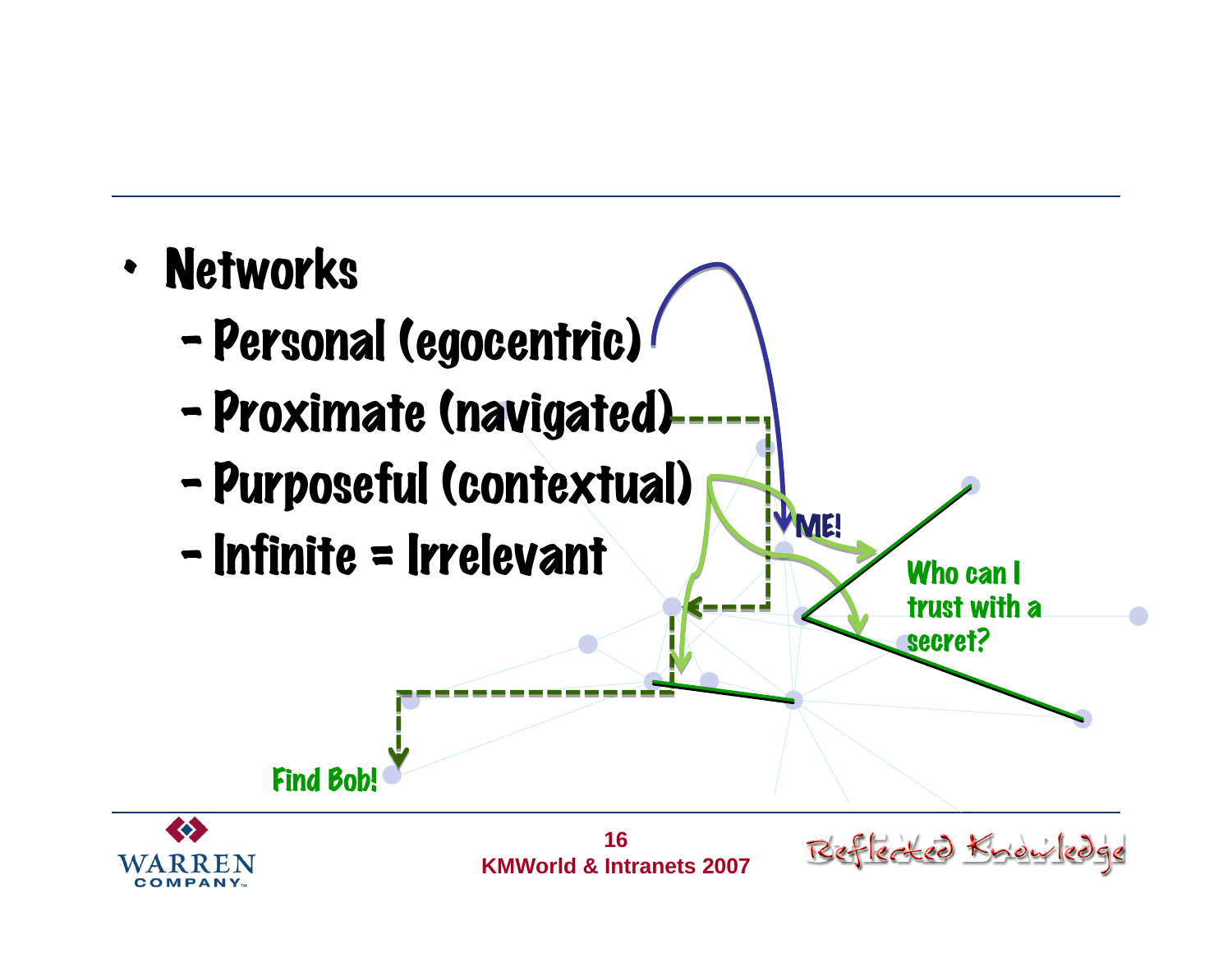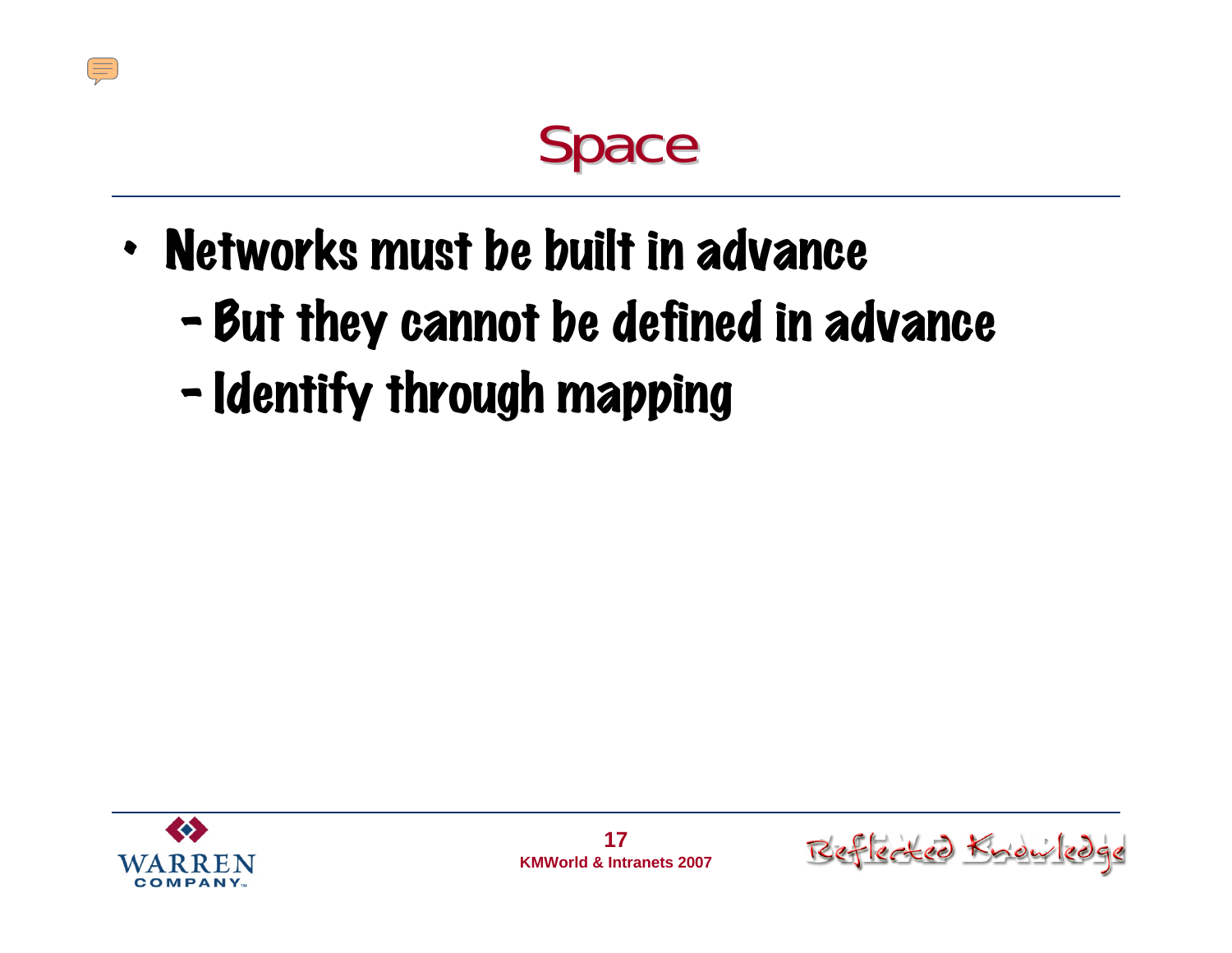#### Space

- • Networks must be built in advance
	- $\blacksquare$ - But they cannot be defined in advance
	- –- Identify through mapping



 $\sqrt{10}$ 

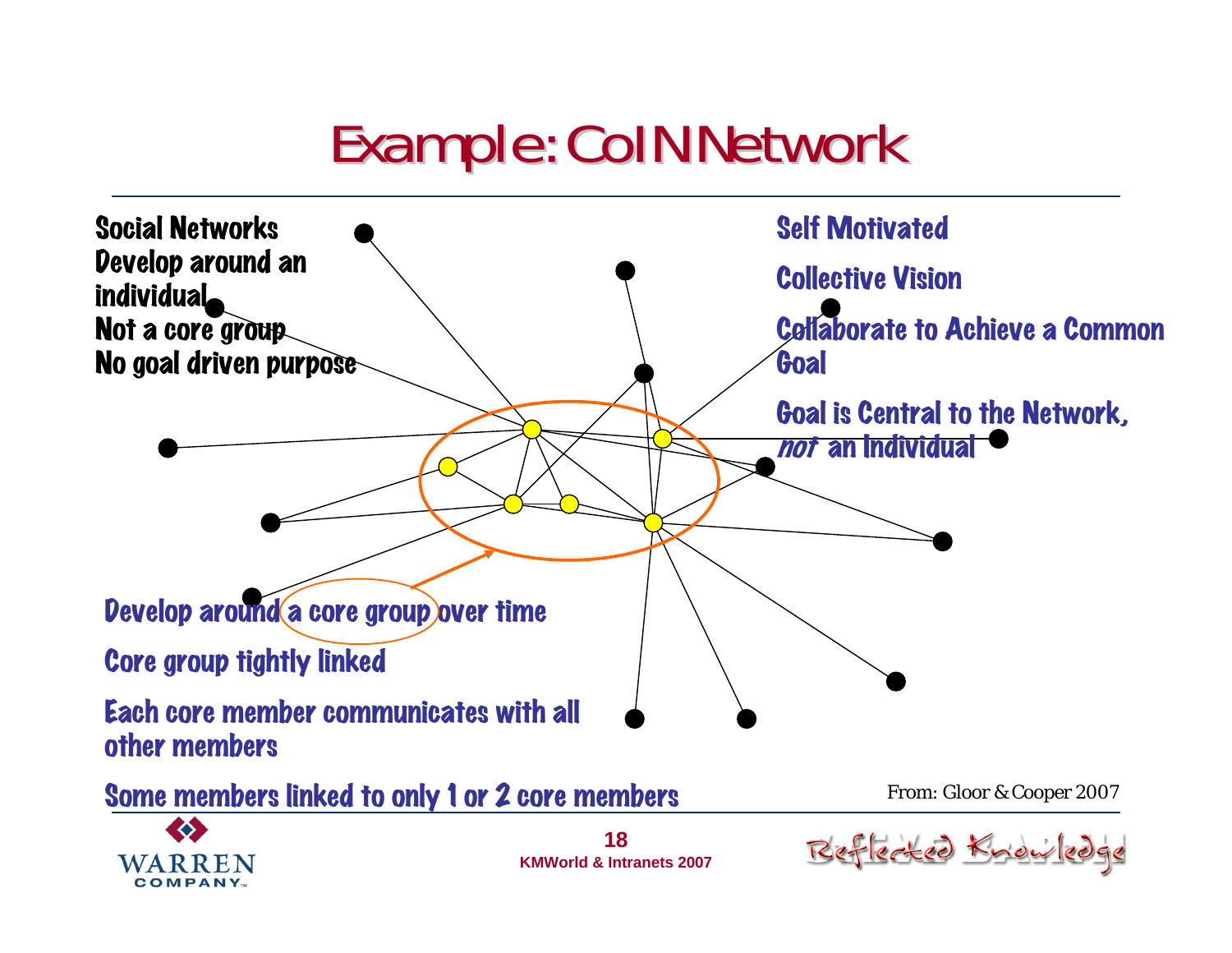#### Example: CoIN Network Example: CoIN Network



**KMWorld & Intranets 2007**

COMPANY.

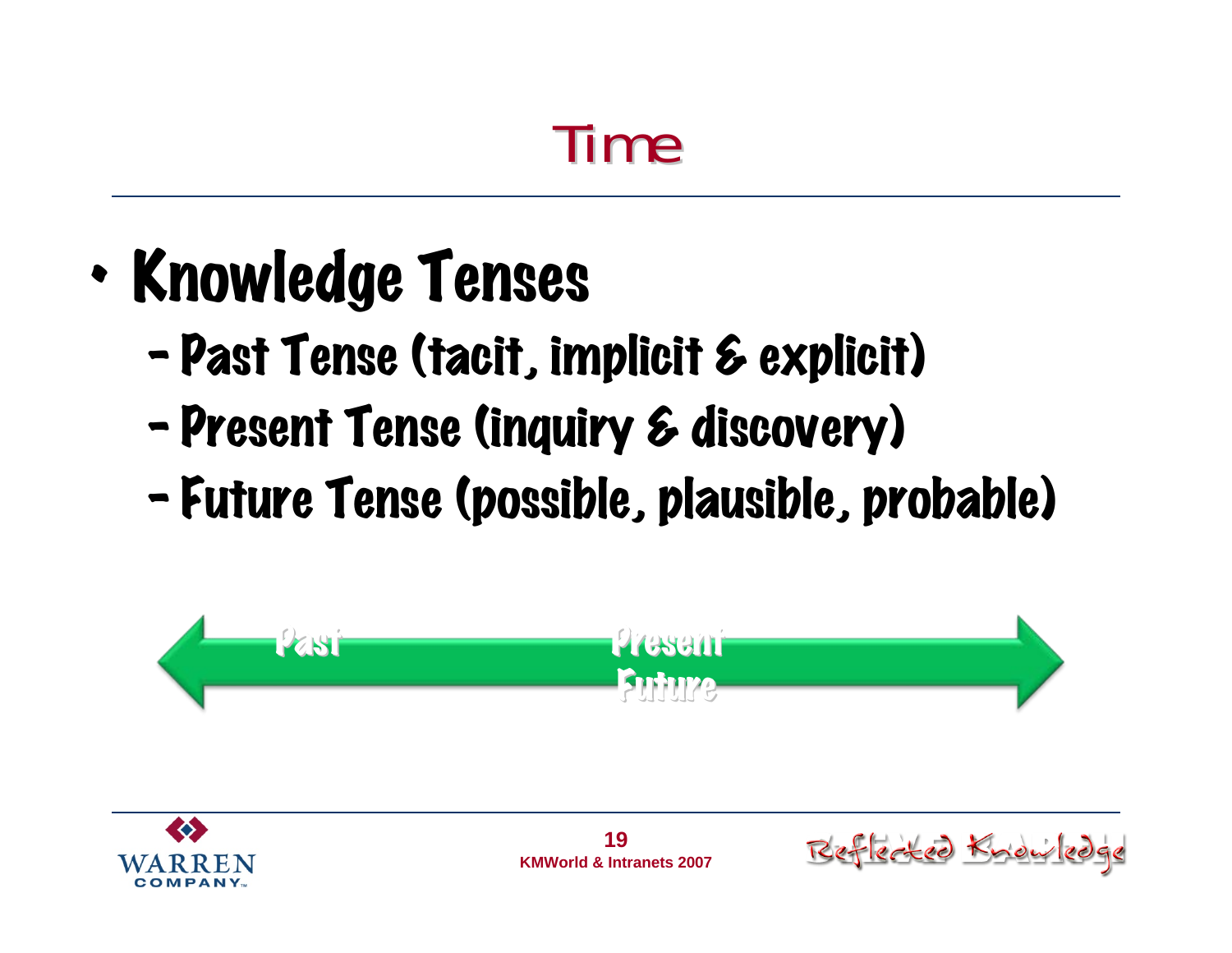#### Time

- • Knowledge Tenses
	- –Past Tense (tacit, implicit & explicit)
	- $\blacksquare$ Present Tense (inquiry & discovery)
	- –Future Tense (possible, plausible, probable)





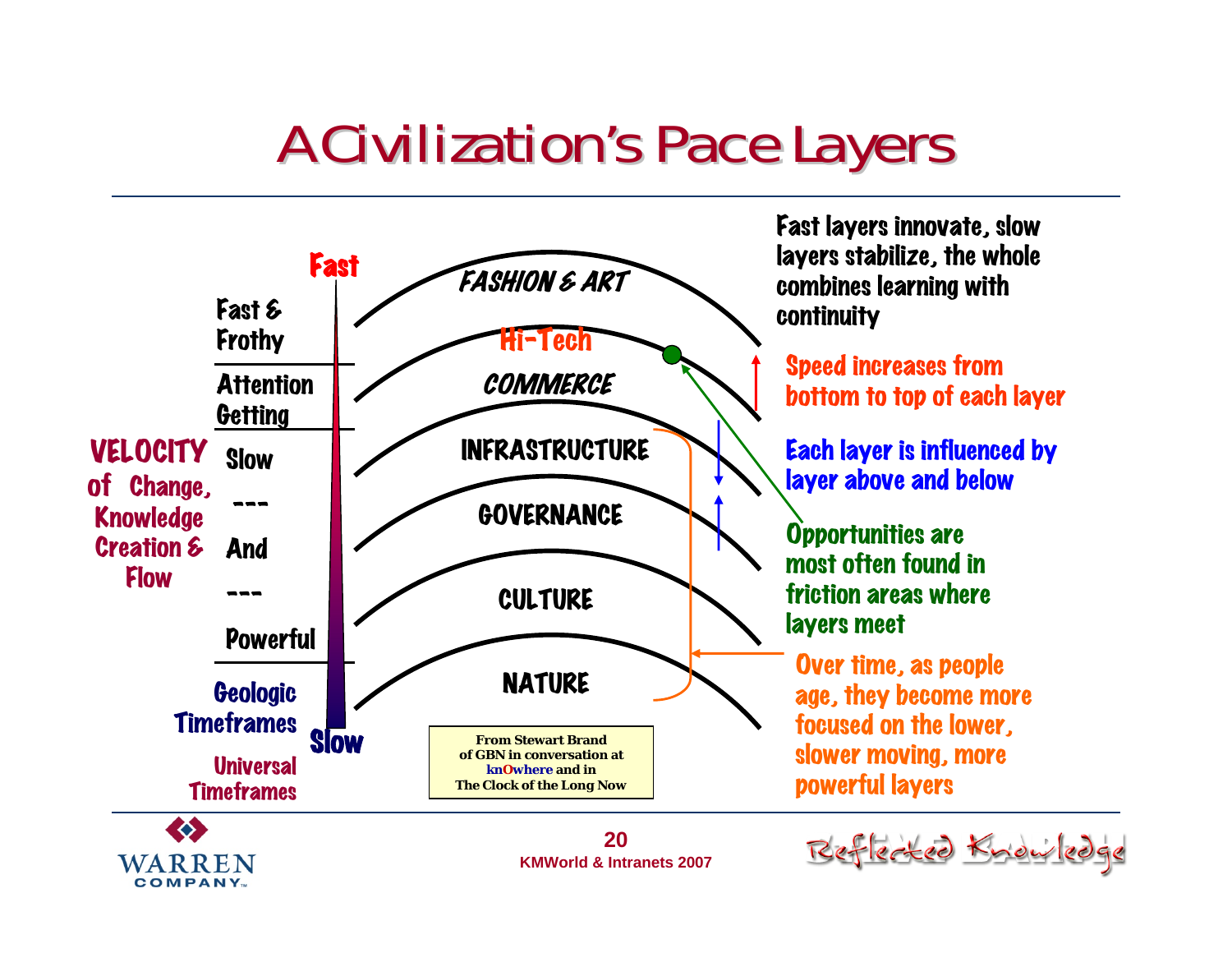#### **A Civilization's Pace Layers**



**COMPANY**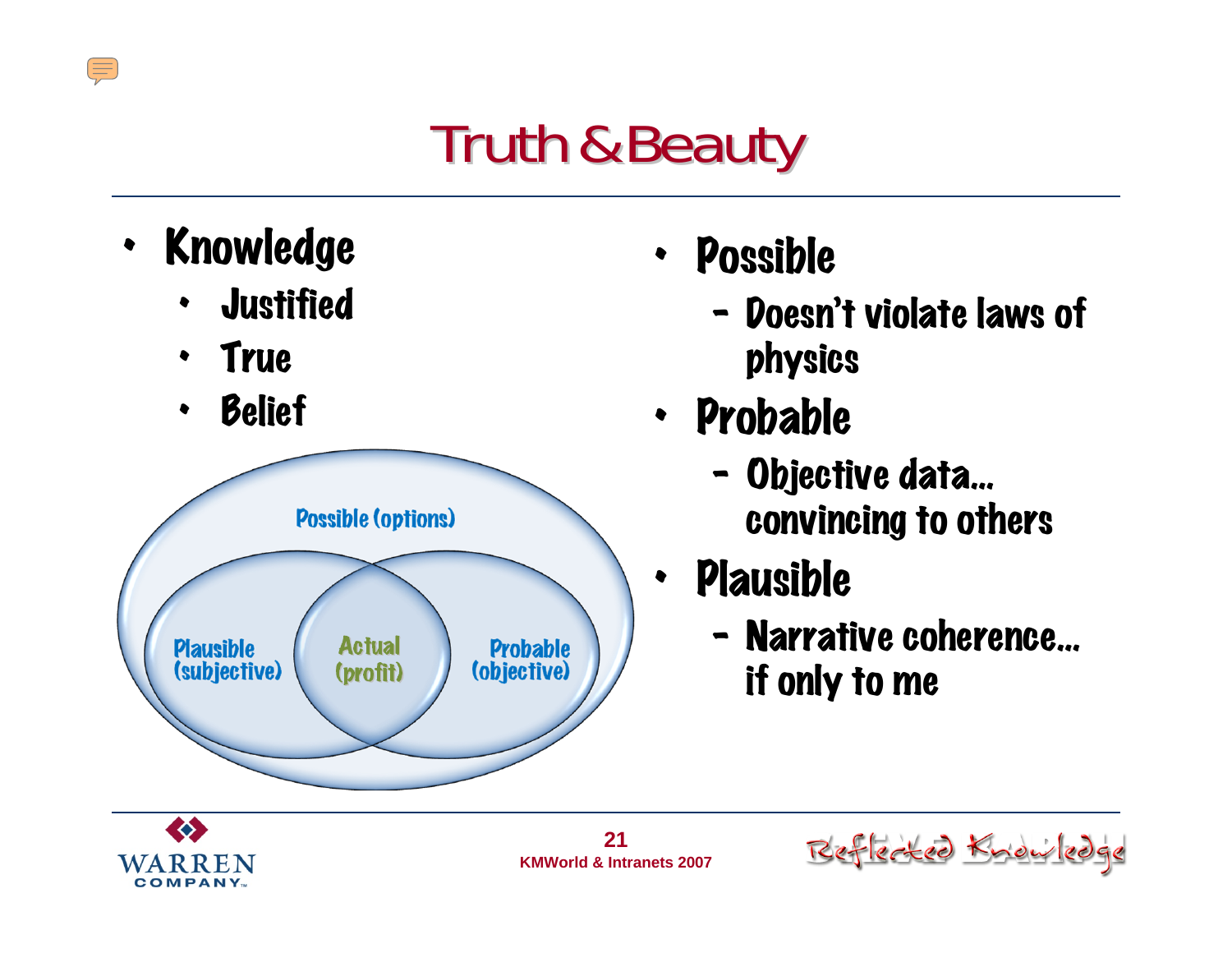### **Truth & Beauty**

• Knowledge

 $\sqrt{\frac{1}{2}}$ 

- •**Justified**
- $\bullet$ True
- •Belief



- $\bullet$  Possible
	- –- Doesn't violate laws of physics
- Probable
	- – Objective data… convincing to others
- • Plausible
	- – Narrative coherence… if only to me



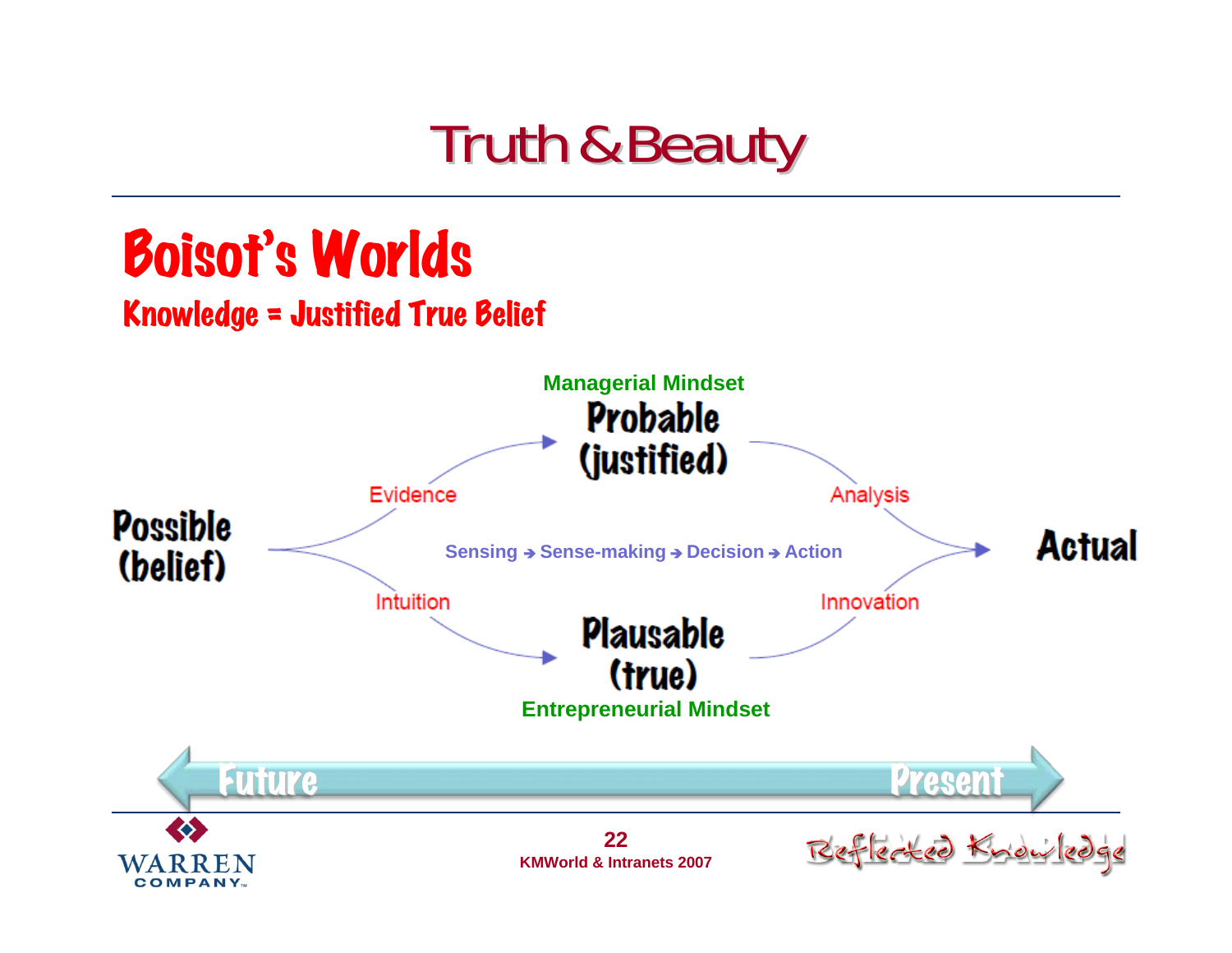#### **Truth & Beauty**

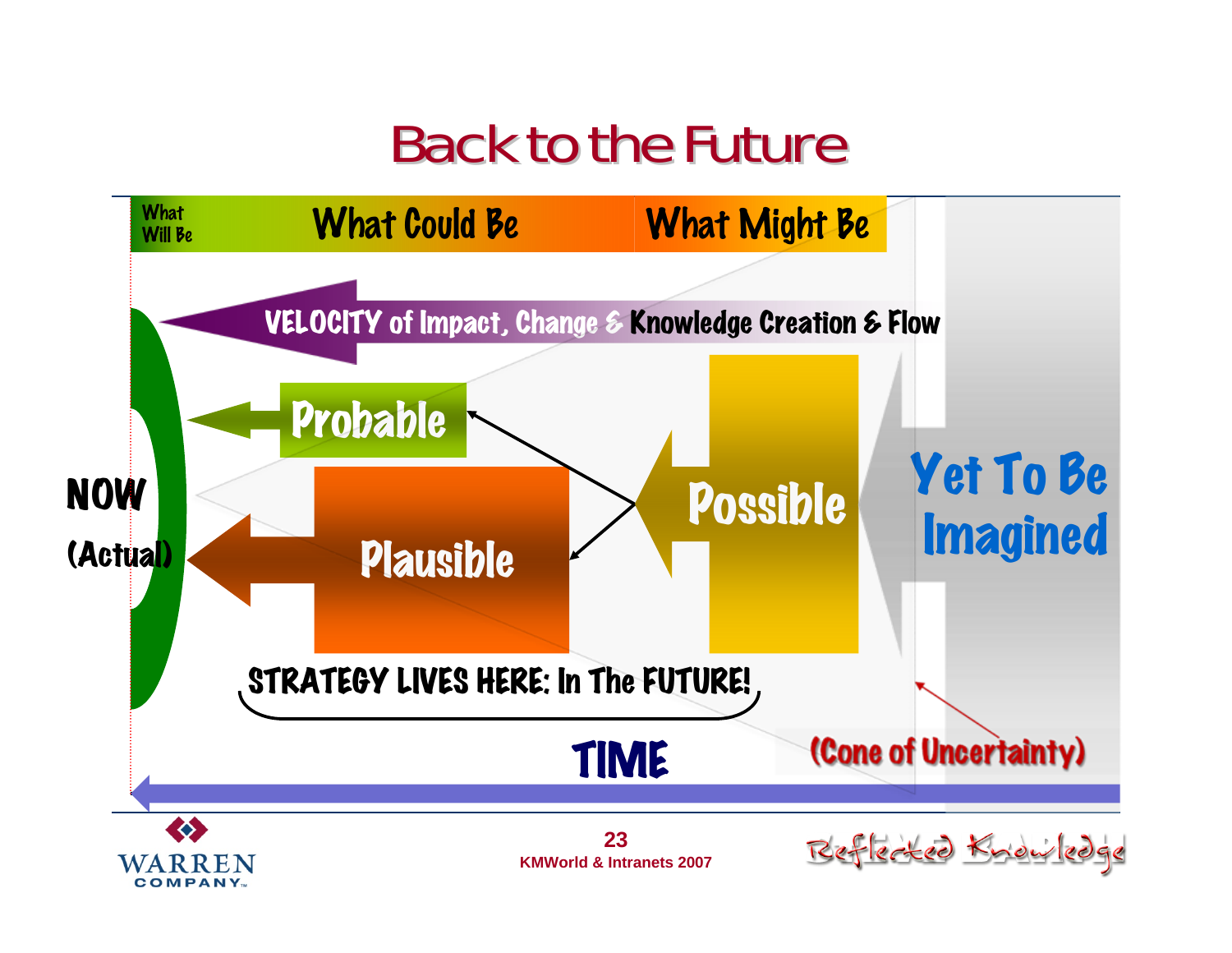#### **Back to the Future**



**COMPANY**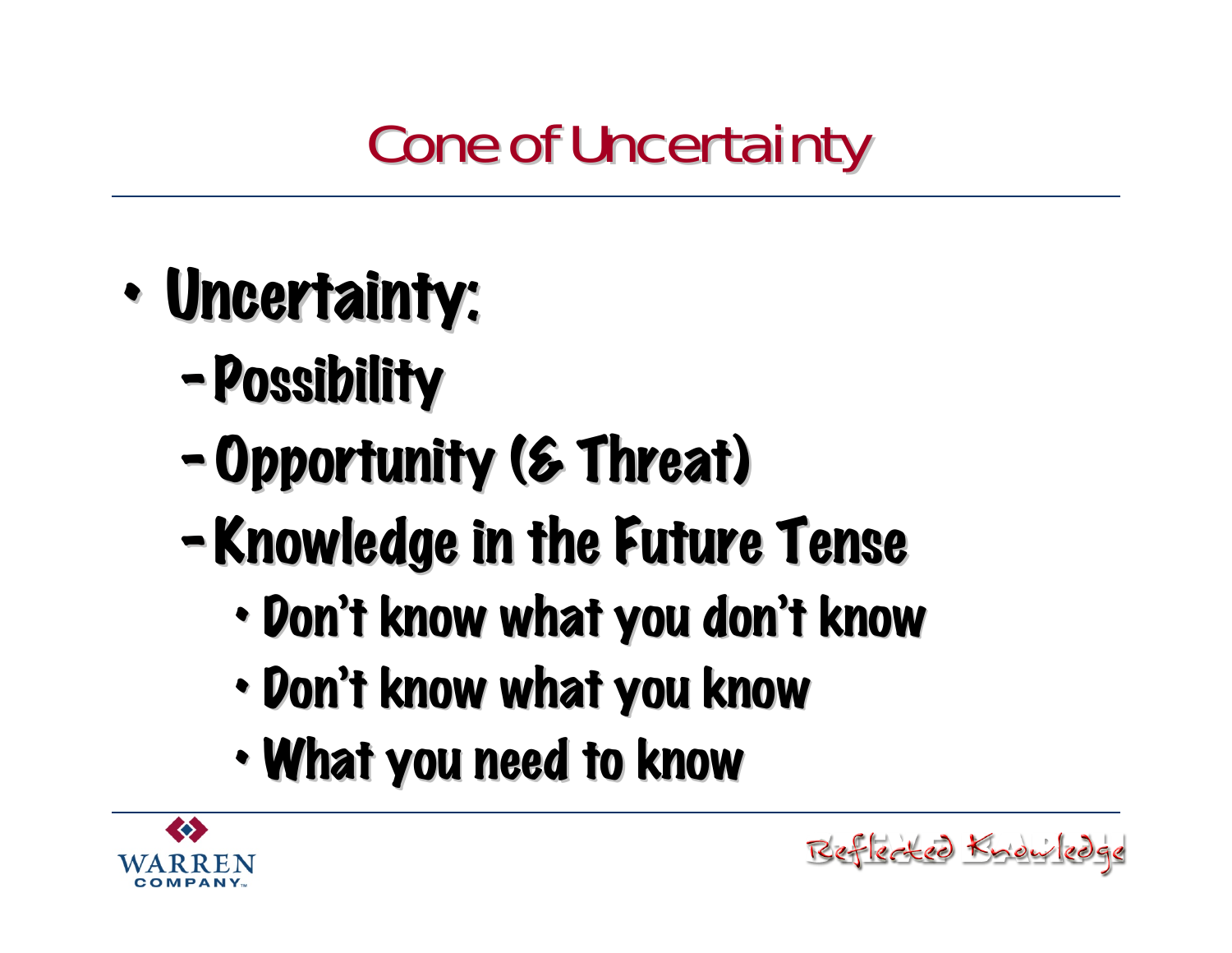### **Cone of Uncertainty**

- •· Uncertainty:
	- Possibility
	- Opportunity (& Threat)
	- Knowledge in the Future Tense
		- •• Don't know what you don't know

Reflected Knowledge

- •• Don't know what you know
- •• What you need to know

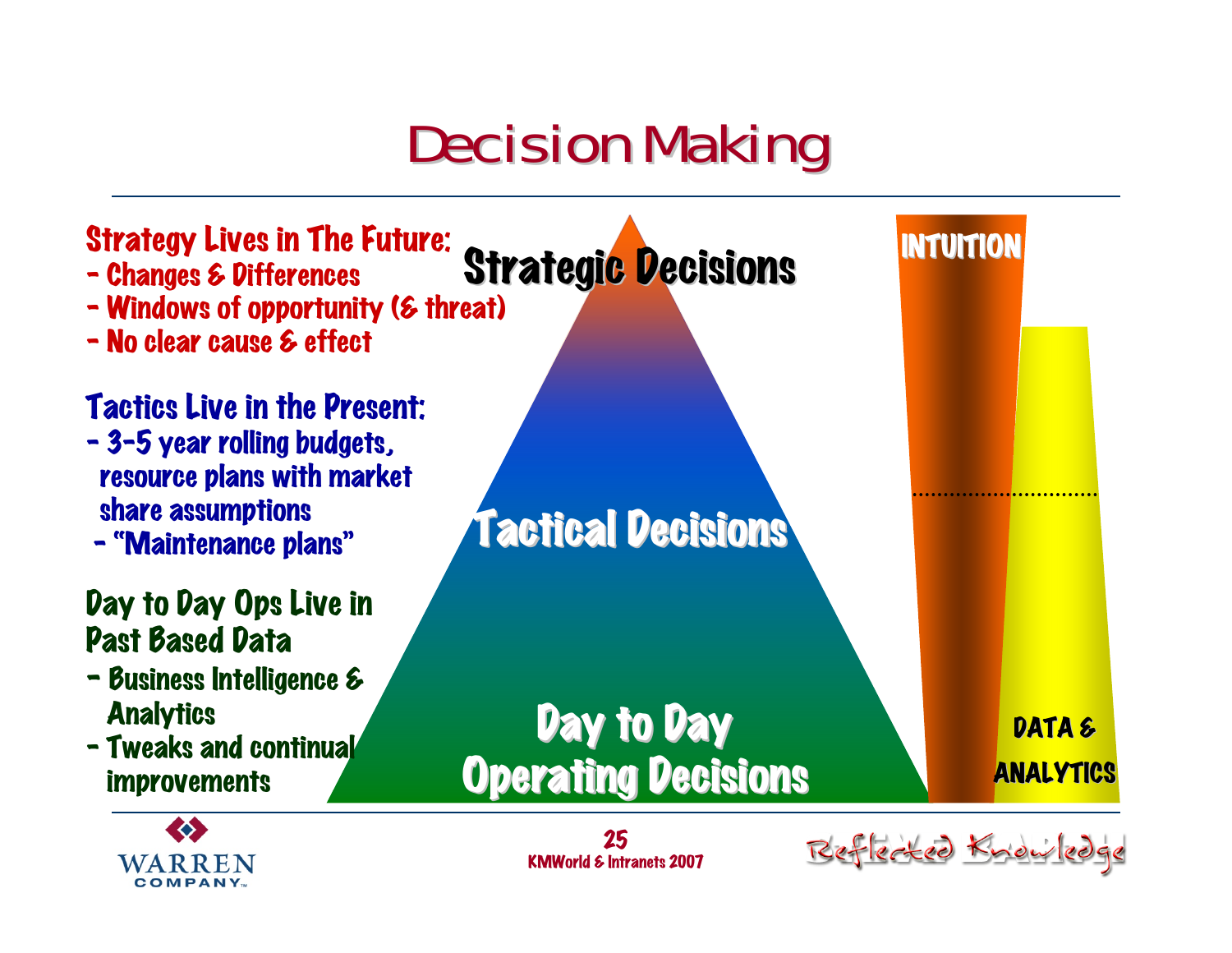#### **Decision Making**





Reflected Know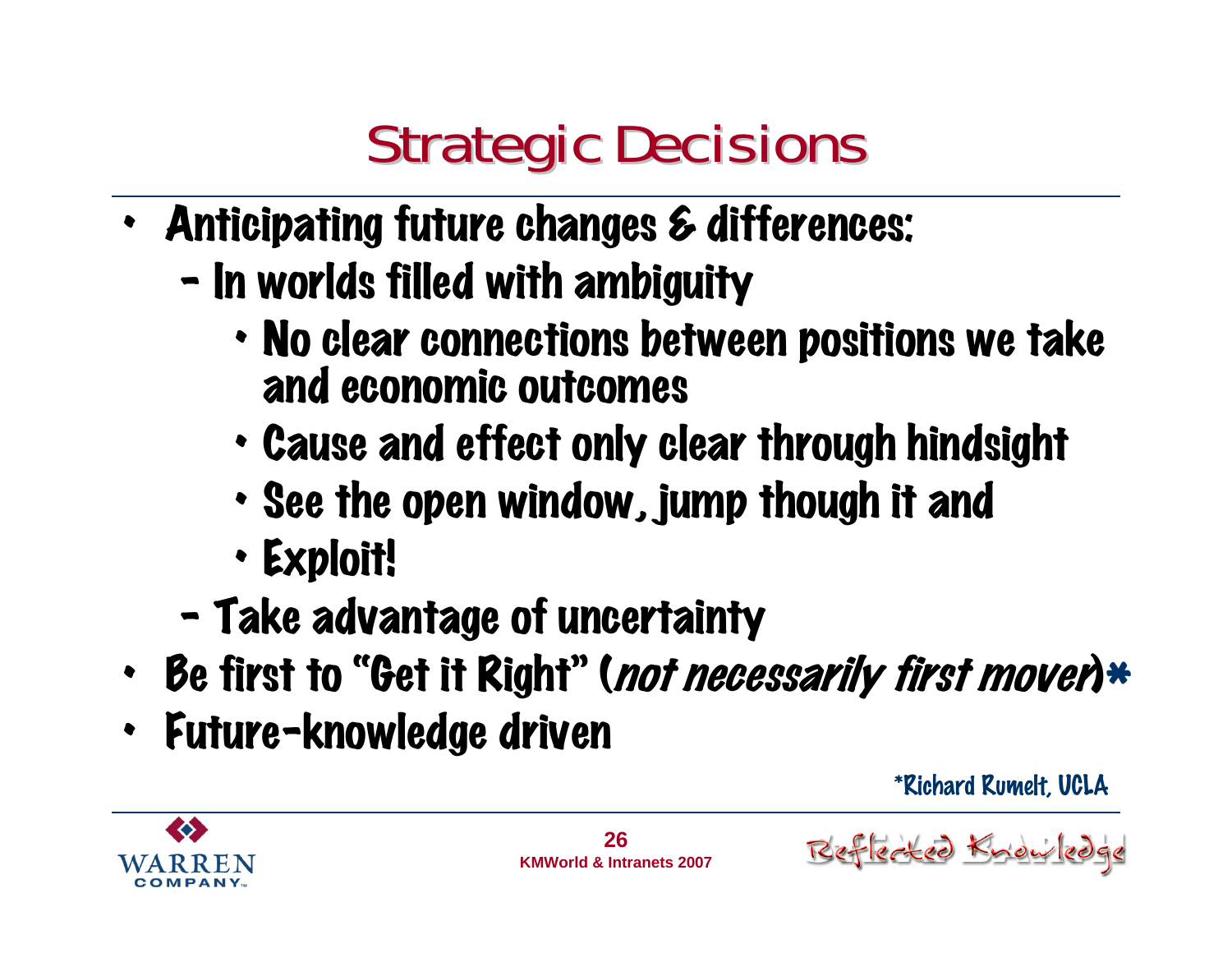### **Strategic Decisions**

- Anticipating future changes & differences:
	- –- In worlds filled with ambiguity
		- No clear connections between positions we take and economic outcomes
		- Cause and effect only clear through hindsight
		- See the open window, jump though it and
		- Exploit!
	- $\blacksquare$ - Take advantage of uncertainty
- Be first to "Get it Right" (*not necessarily first mover*)\*
- Future-knowledge driven

\*Richard Rumelt, UCLA

ted Know

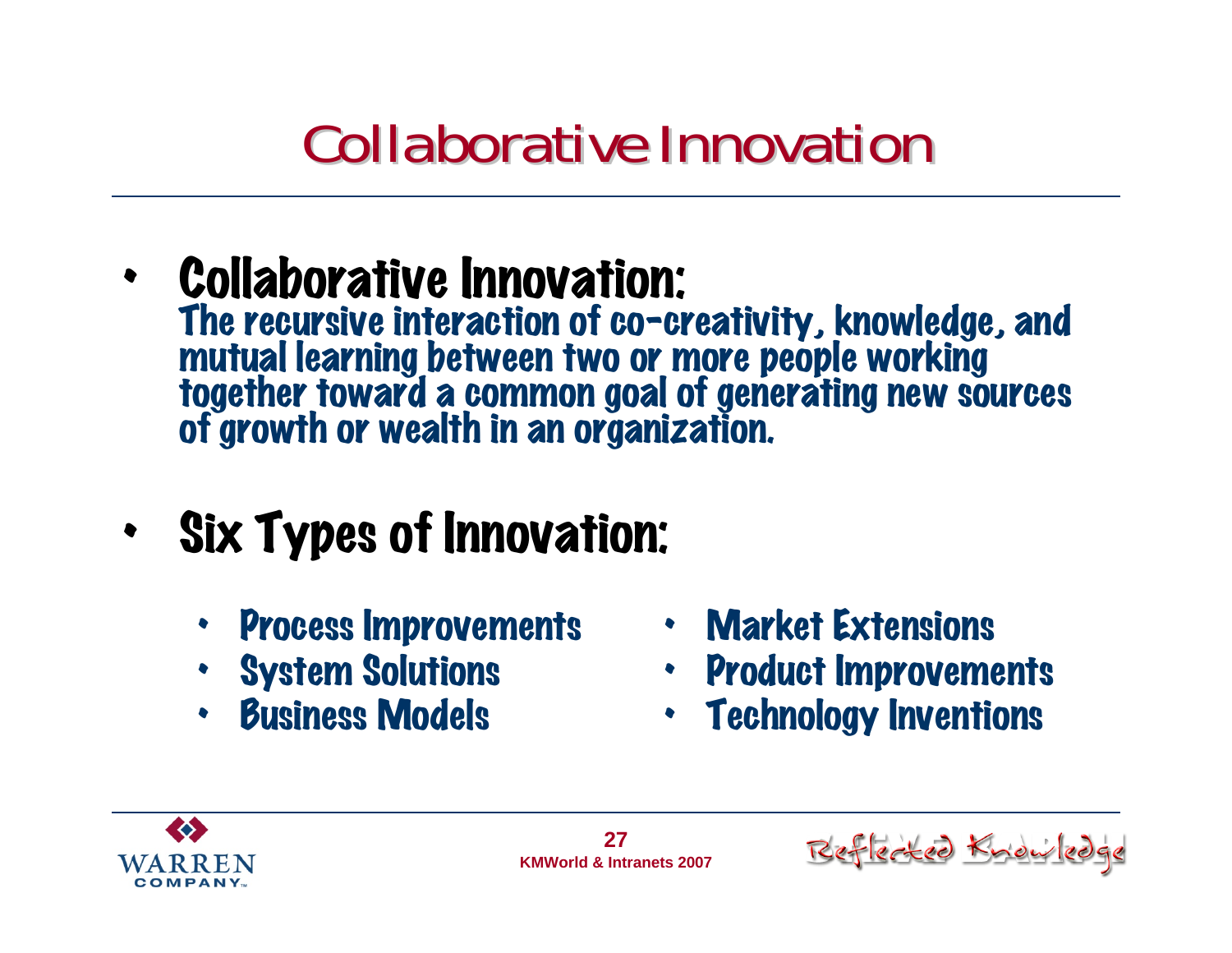#### **Collaborative Innovation**

- • Collaborative Innovation: The recursive interaction of co-creativity, knowledge, and<br>mutual learning between two or more people working<br>together toward a common goal of generating new sources<br>of growth or wealth in an organization.
- • Six Types of Innovation:
	- •Process Improvements
	- System Solutions
	- •Business Models
- Market Extensions
- Product Improvements
- Technology Inventions



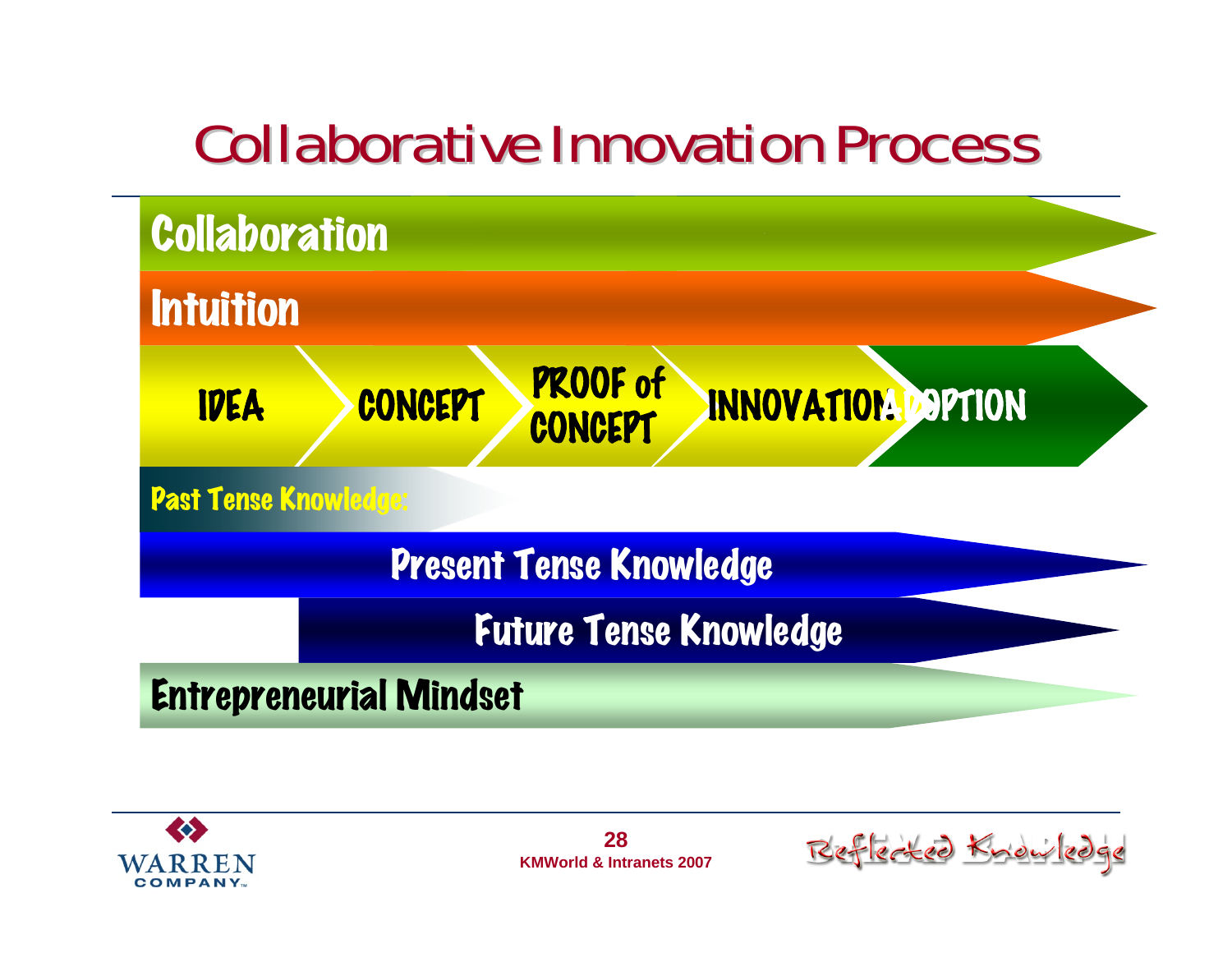#### **Collaborative Innovation Process**





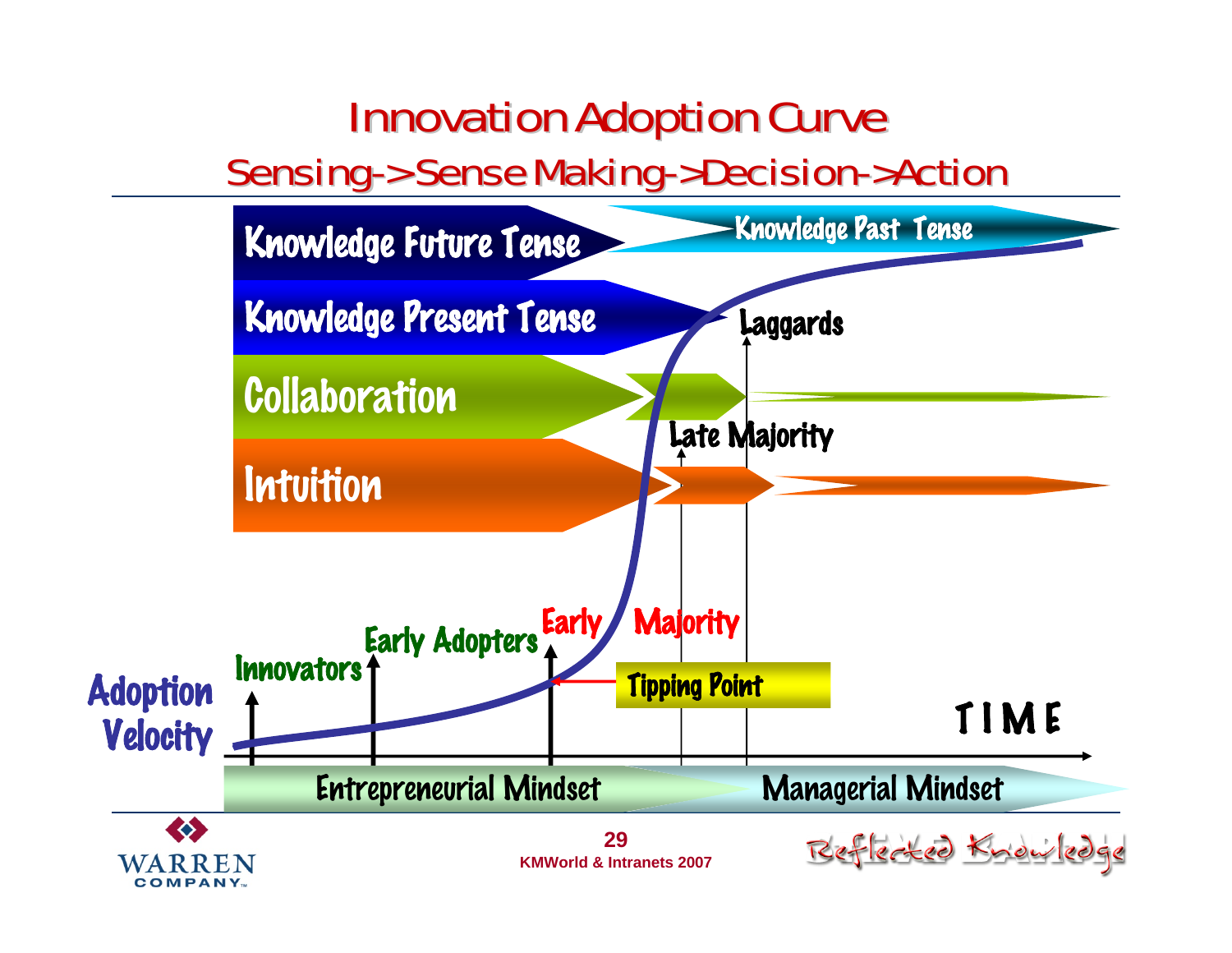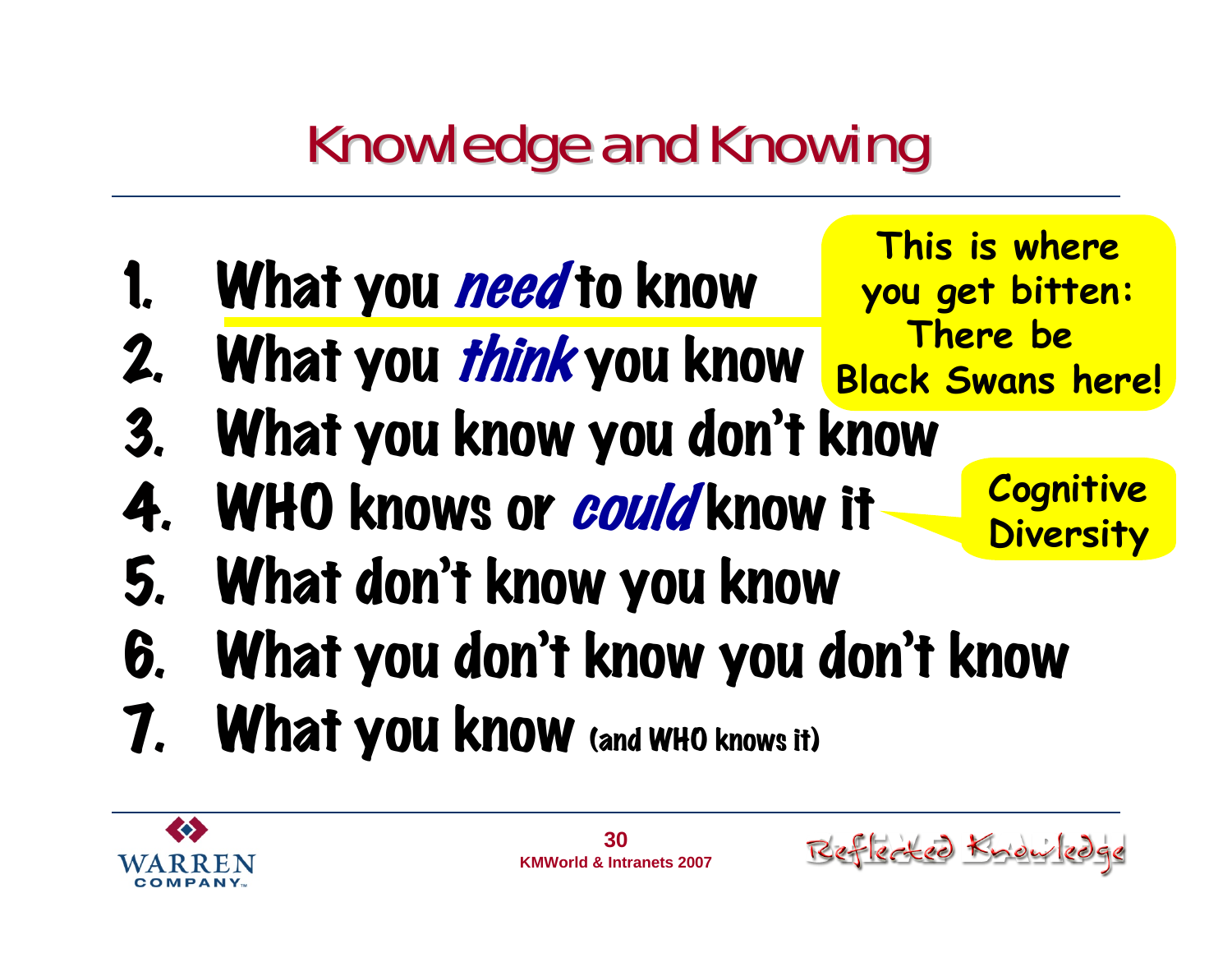### **Knowledge and Knowing**

- 1. What you need to know
- 2. What you think you know
- 3. What you know you don't know
- 4. WHO knows or could know it
- 5. What don't know you know
- 6. What you don't know you don't know
- 7. What you know (and WHO knows it)





**Cognitive** 

**This is where**

**you get bitten:**

**There be** 

**Black Swans here!**

**Diversity**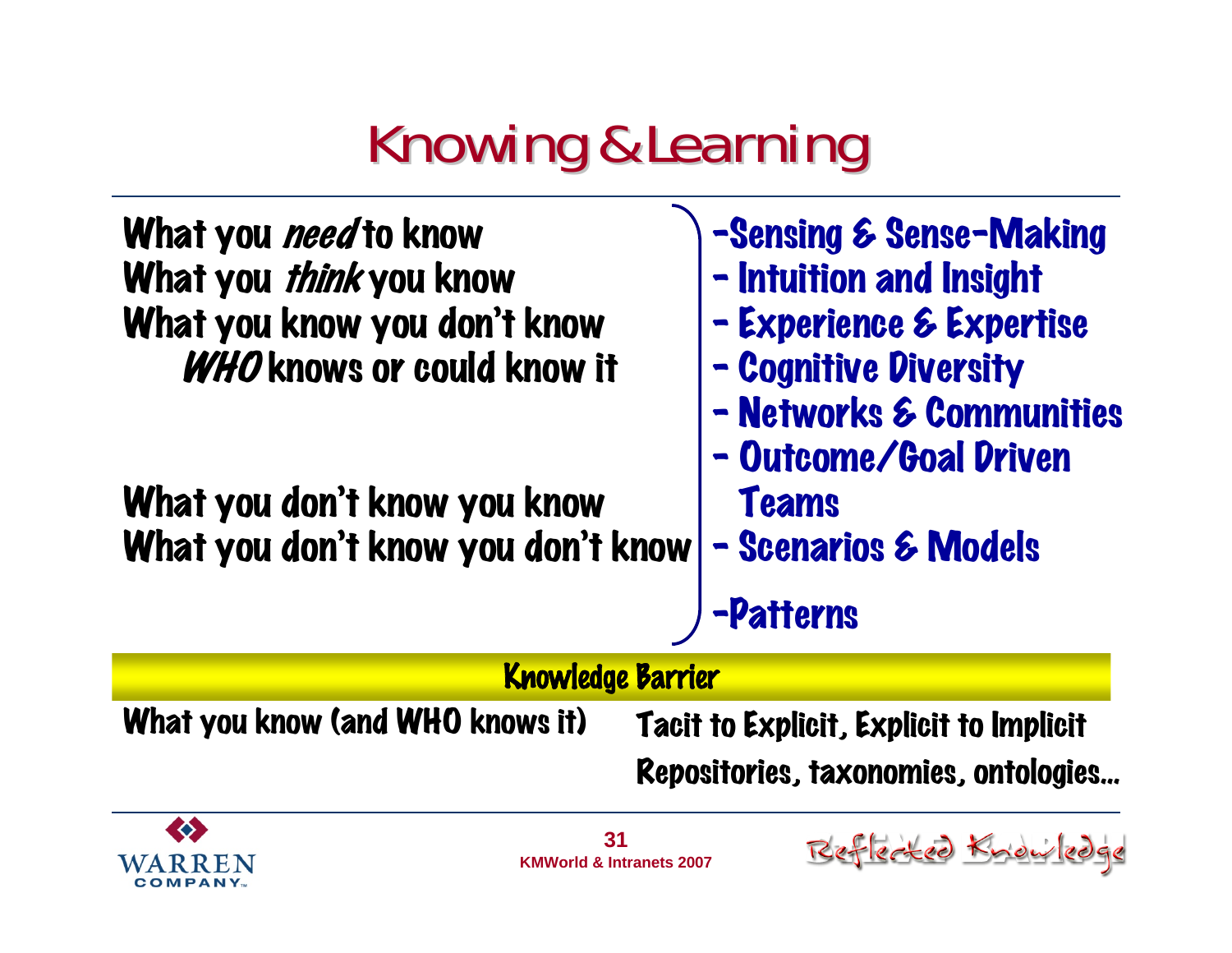### **Knowing & Learning**





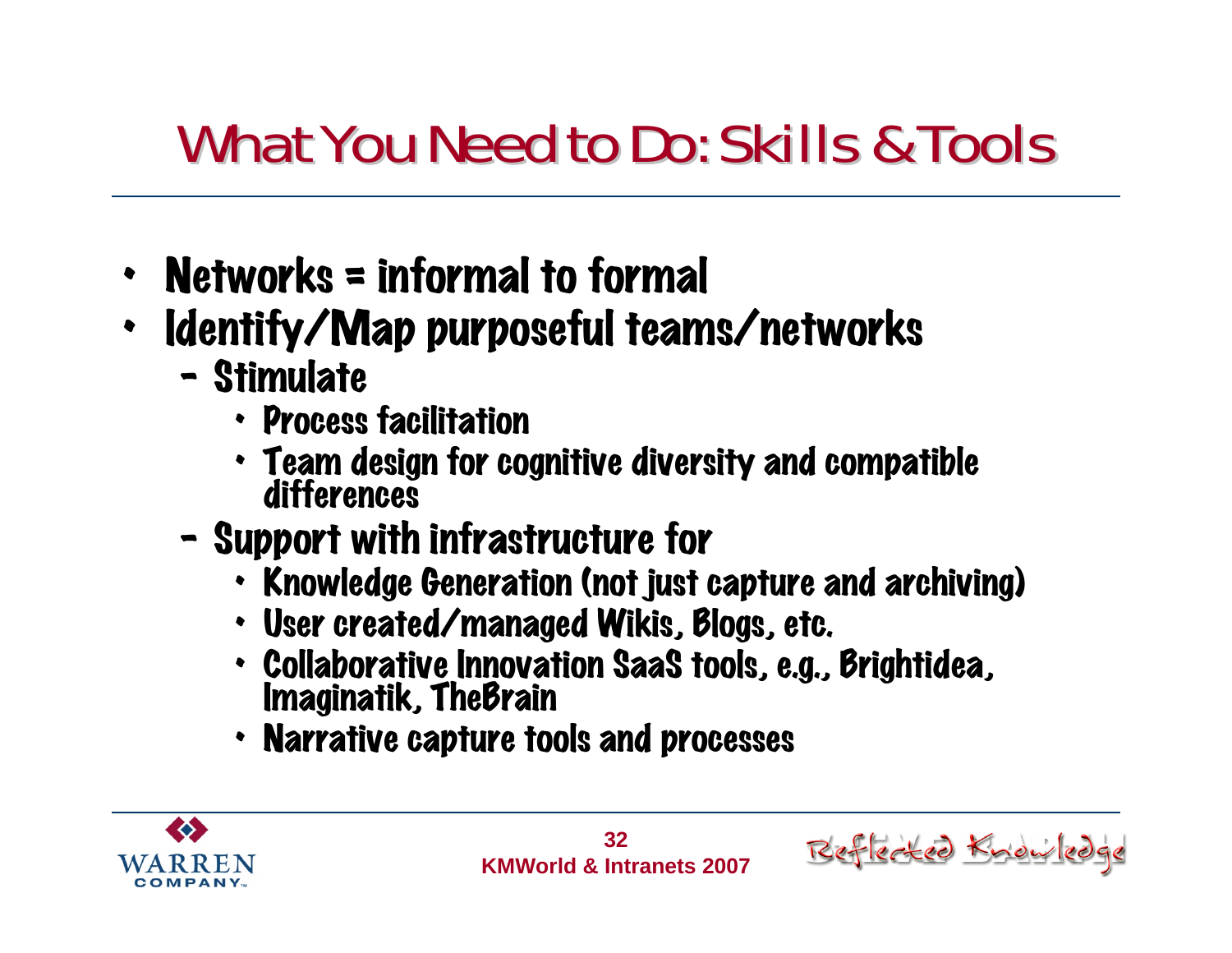#### What You Need to Do: Skills & Tools

- Networks = informal to formal
- • Identify/Map purposeful teams/networks
	- –- Stimulate
		- Process facilitation
		- Team design for cognitive diversity and compatible<br>differences
	- –- Support with infrastructure for
		- Knowledge Generation (not just capture and archiving)
		- User created/managed Wikis, Blogs, etc.
		- Collaborative Innovation SaaS tools, e.g., Brightidea,<br>Imaginatik, TheBrain
		- Narrative capture tools and processes



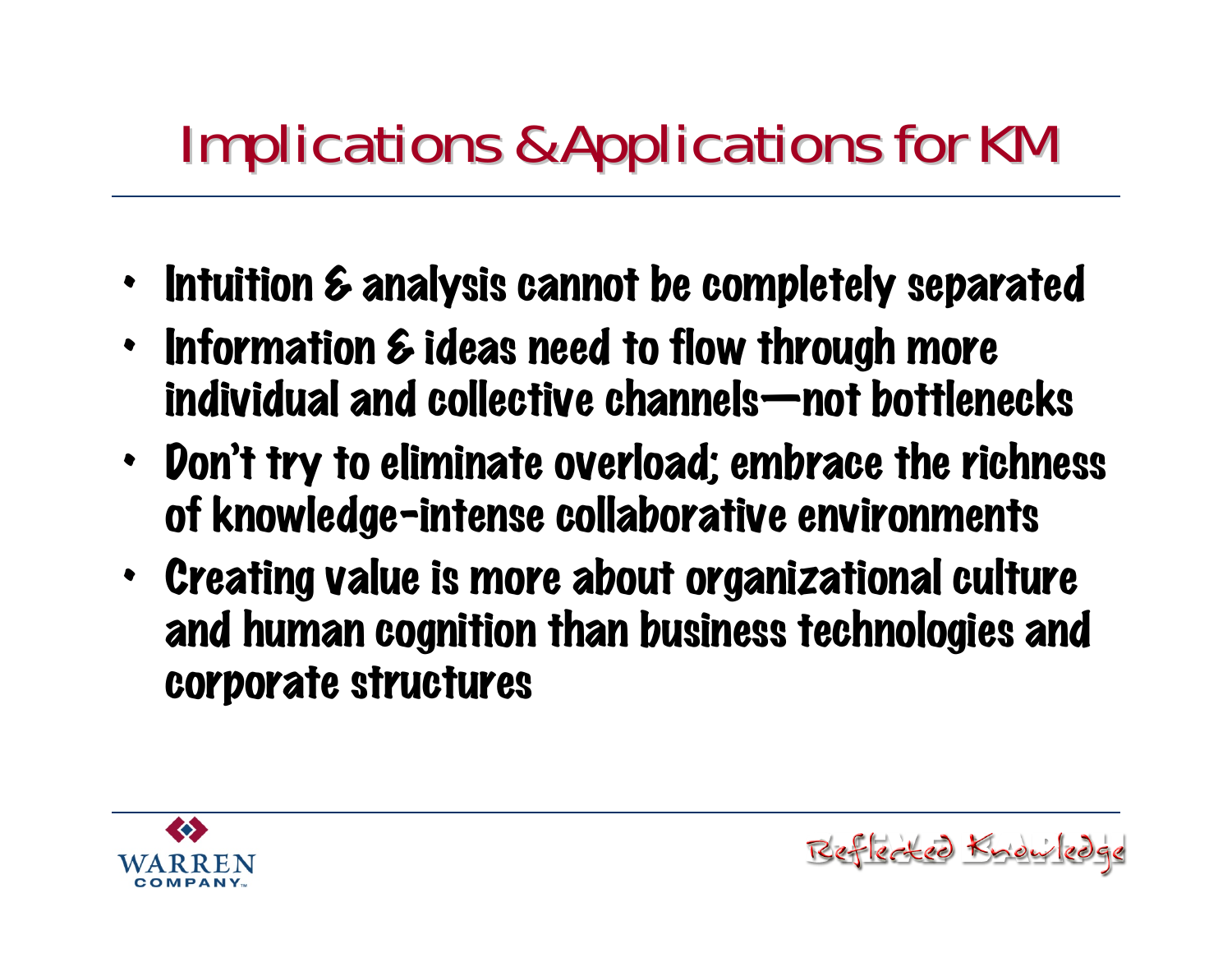### **Implications & Applications for KM**

- Intuition & analysis cannot be completely separated
- Information & ideas need to flow through more individual and collective channels—not bottlenecks
- Don't try to eliminate overload; embrace the richness of knowledge-intense collaborative environments
- Creating value is more about organizational culture and human cognition than business technologies and corporate structures

steel Kno

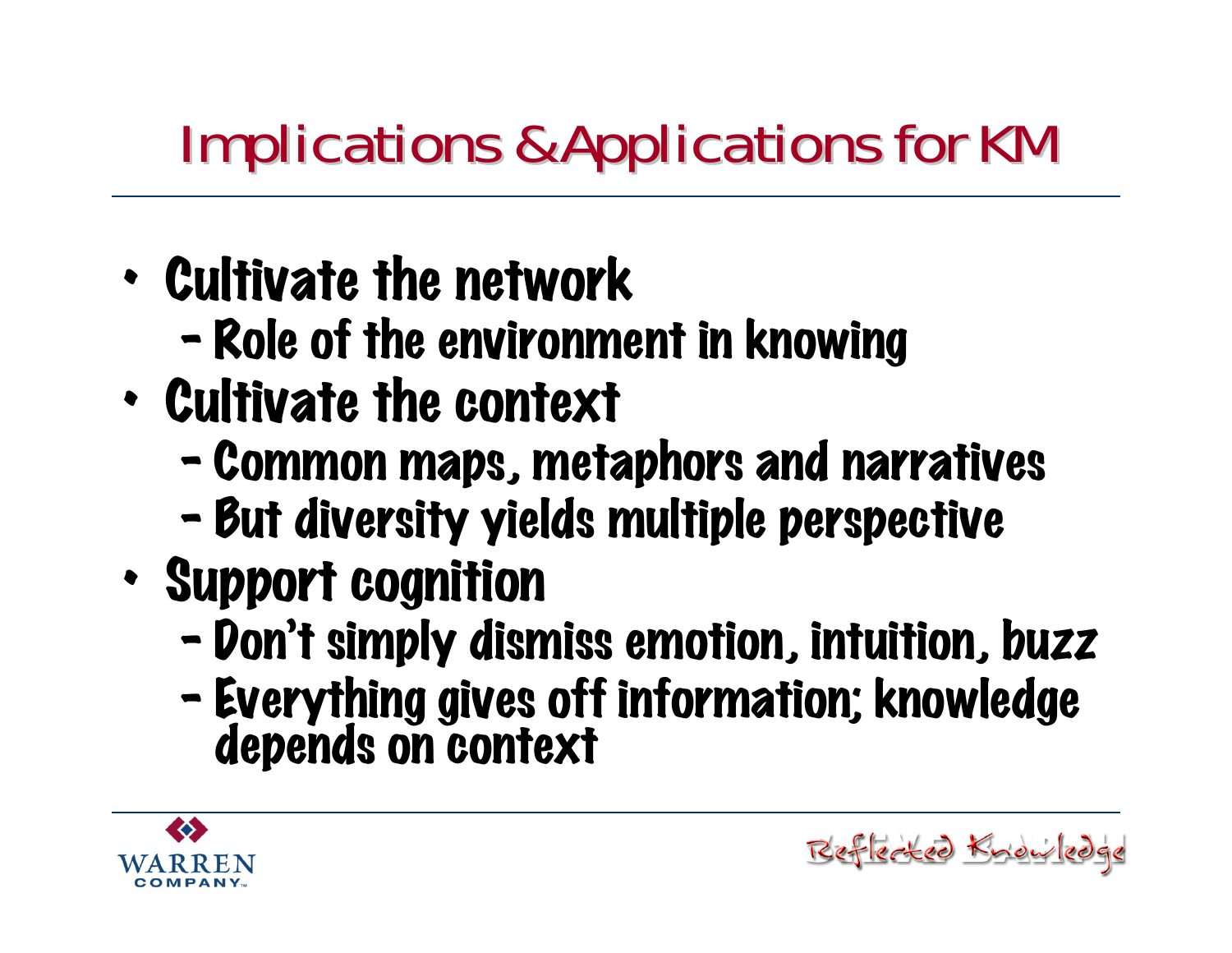### **Implications & Applications for KM**

- • Cultivate the network
	- $\blacksquare$ Role of the environment in knowing
- • Cultivate the context
	- –Common maps, metaphors and narratives
	- –But diversity yields multiple perspective
- • Support cognition
	- –- Don't simply dismiss emotion, intuition, buzz
	- –Everything gives off information; knowledge depends on context

Reflected Knowledge

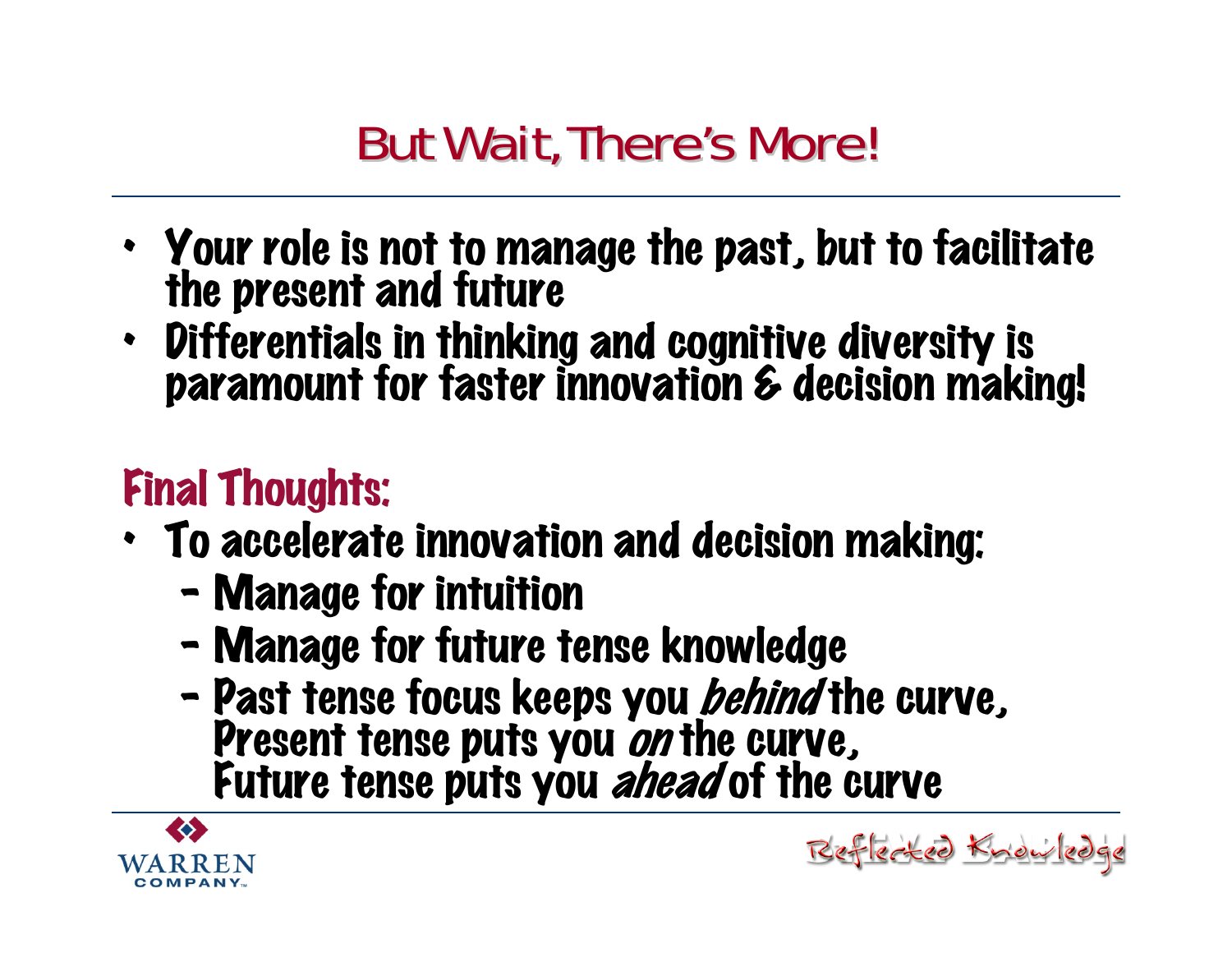#### **But Wait, There's More!**

- Your role is not to manage the past, but to facilitate the present and future
- Differentials in thinking and cognitive diversity is paramount for faster innovation & decision making!

#### Final Thoughts:

- To accelerate innovation and decision making:
	- –- Manage for intuition
	- –Manage for future tense knowledge
	- $\blacksquare$ - Past tense focus keeps you *behind* the curve,<br>Present tense puts you *on* the curve,<br>Future tense puts you *ahead* of the curve

Reflected Know

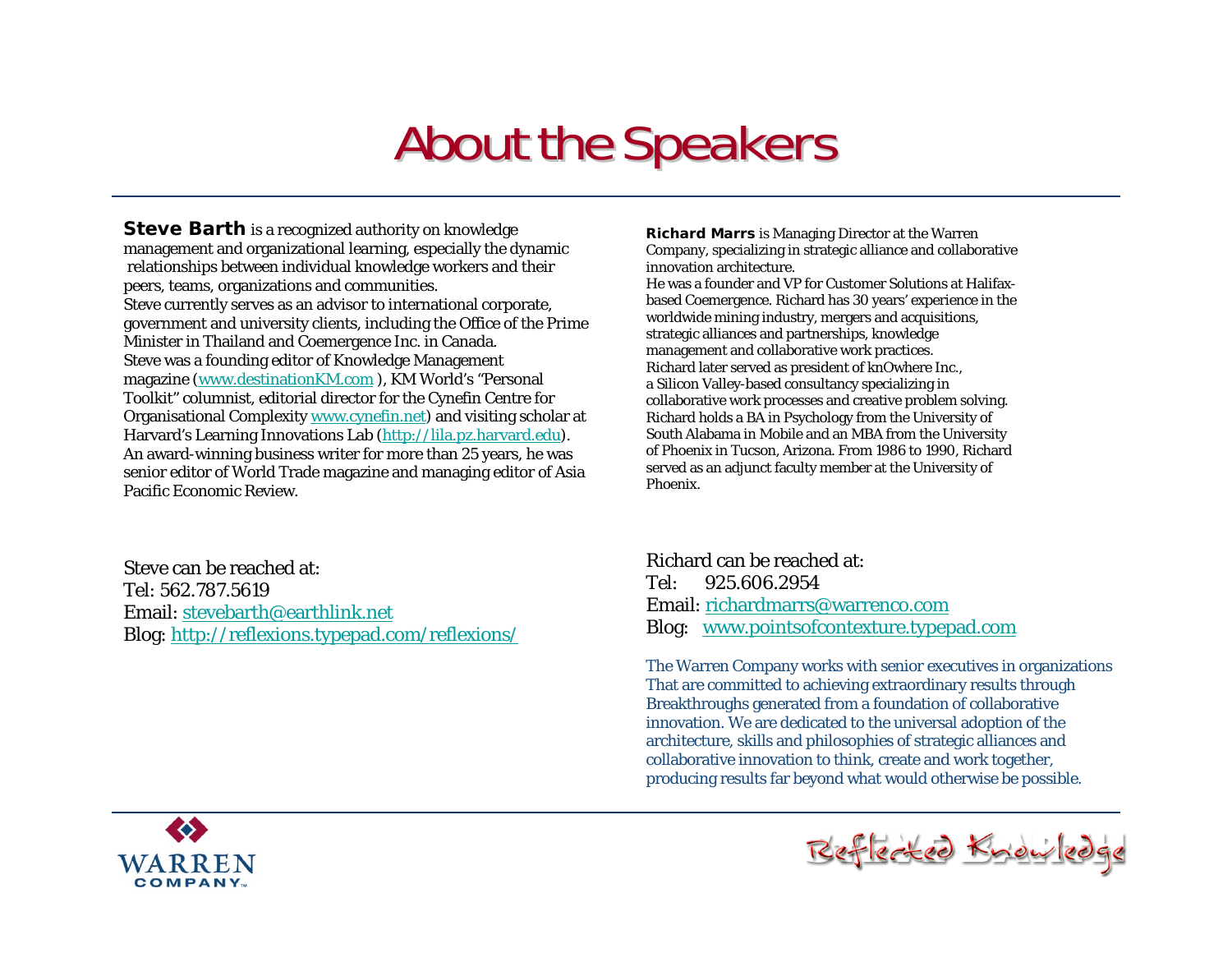#### **About the Speakers**

**Steve Barth** is a recognized authority on knowledge management and organizational learning, especially the dynamic relationships between individual knowledge workers and their peers, teams, organizations and communities. Steve currently serves as an advisor to international corporate, government and university clients, including the Office of the Prime Minister in Thailand and Coemergence Inc. in Canada. Steve was a founding editor of Knowledge Management magazine [\(www.destinationKM.com](http://www.destinationkm.com/) ), KM World's "Personal Toolkit" columnist, editorial director for the Cynefin Centre for Organisational Complexity [www.cynefin.net\)](http://www.cynefin.net/) and visiting scholar at Harvard's Learning Innovations Lab ([http://lila.pz.harvard.edu](http://lila.pz.harvard.edu/)). An award-winning business writer for more than 25 years, he was senior editor of World Trade magazine and managing editor of Asia Pacific Economic Review.

Steve can be reached at:Tel: 562.787.5619Email: [stevebarth@earthlink.net](mailto:stevebarth@earthlink.net) Blog: <http://reflexions.typepad.com/reflexions/> **Richard Marrs** is Managing Director at the Warren Company, specializing in strategic alliance and collaborative innovation architecture.

He was a founder and VP for Customer Solutions at Halifaxbased Coemergence. Richard has 30 years' experience in the worldwide mining industry, mergers and acquisitions, strategic alliances and partnerships, knowledge management and collaborative work practices. Richard later served as president of knOwhere Inc., a Silicon Valley-based consultancy specializing in collaborative work processes and creative problem solving. Richard holds a BA in Psychology from the University of South Alabama in Mobile and an MBA from the University of Phoenix in Tucson, Arizona. From 1986 to 1990, Richard served as an adjunct faculty member at the University of Phoenix.

Richard can be reached at:Tel: 925.606.2954 Email: [richardmarrs@warrenco.com](mailto:richardmarrs@warrenco.com)Blog: [www.pointsofcontexture.typepad.com](http://www.pointsofcontexture.typepad.com/)

The Warren Company works with senior executives in organizations That are committed to achieving extraordinary results through Breakthroughs generated from a foundation of collaborative innovation. We are dedicated to the universal adoption of the architecture, skills and philosophies of strategic alliances and collaborative innovation to think, create and work together, producing results far beyond what would otherwise be possible.